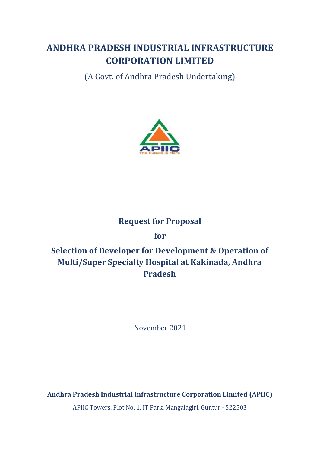# **ANDHRA PRADESH INDUSTRIAL INFRASTRUCTURE CORPORATION LIMITED**

(A Govt. of Andhra Pradesh Undertaking)



## **Request for Proposal**

**for**

# **Selection of Developer for Development & Operation of Multi/Super Specialty Hospital at Kakinada, Andhra Pradesh**

November 2021

**Andhra Pradesh Industrial Infrastructure Corporation Limited (APIIC)**

APIIC Towers, Plot No. 1, IT Park, Mangalagiri, Guntur - 522503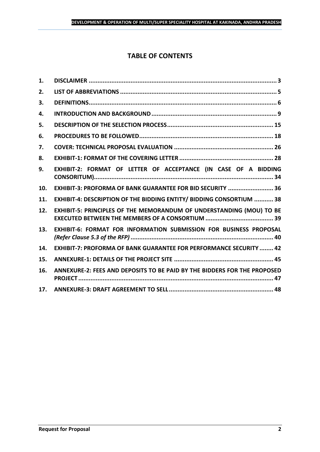## **TABLE OF CONTENTS**

| 1.  |                                                                           |
|-----|---------------------------------------------------------------------------|
| 2.  |                                                                           |
| 3.  |                                                                           |
| 4.  |                                                                           |
| 5.  |                                                                           |
| 6.  |                                                                           |
| 7.  |                                                                           |
| 8.  |                                                                           |
| 9.  | EXHIBIT-2: FORMAT OF LETTER OF ACCEPTANCE (IN CASE OF A BIDDING           |
| 10. | EXHIBIT-3: PROFORMA OF BANK GUARANTEE FOR BID SECURITY  36                |
| 11. | EXHIBIT-4: DESCRIPTION OF THE BIDDING ENTITY/ BIDDING CONSORTIUM  38      |
| 12. | EXHIBIT-5: PRINCIPLES OF THE MEMORANDUM OF UNDERSTANDING (MOU) TO BE      |
| 13. | EXHIBIT-6: FORMAT FOR INFORMATION SUBMISSION FOR BUSINESS PROPOSAL        |
| 14. | <b>EXHIBIT-7: PROFORMA OF BANK GUARANTEE FOR PERFORMANCE SECURITY  42</b> |
| 15. |                                                                           |
| 16. | ANNEXURE-2: FEES AND DEPOSITS TO BE PAID BY THE BIDDERS FOR THE PROPOSED  |
| 17. |                                                                           |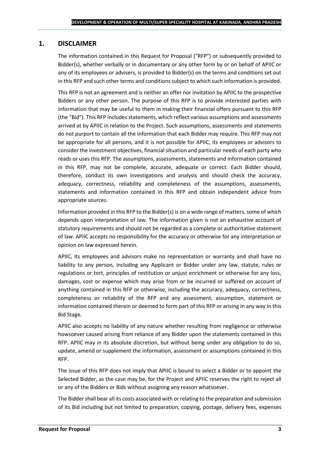## <span id="page-2-0"></span>**1. DISCLAIMER**

The information contained in this Request for Proposal ("RFP") or subsequently provided to Bidder(s), whether verbally or in documentary or any other form by or on behalf of APIIC or any of its employees or advisers, is provided to Bidder(s) on the terms and conditions set out in this RFP and such other terms and conditions subject to which such information is provided.

This RFP is not an agreement and is neither an offer nor invitation by APIIC to the prospective Bidders or any other person. The purpose of this RFP is to provide interested parties with information that may be useful to them in making their financial offers pursuant to this RFP (the "Bid"). This RFP includes statements, which reflect various assumptions and assessments arrived at by APIIC in relation to the Project. Such assumptions, assessments and statements do not purport to contain all the information that each Bidder may require. This RFP may not be appropriate for all persons, and it is not possible for APIIC, its employees or advisors to consider the investment objectives, financial situation and particular needs of each party who reads or uses this RFP. The assumptions, assessments, statements and information contained in this RFP, may not be complete, accurate, adequate or correct. Each Bidder should, therefore, conduct its own investigations and analysis and should check the accuracy, adequacy, correctness, reliability and completeness of the assumptions, assessments, statements and information contained in this RFP and obtain independent advice from appropriate sources.

Information provided in this RFP to the Bidder(s) is on a wide range of matters, some of which depends upon interpretation of law. The information given is not an exhaustive account of statutory requirements and should not be regarded as a complete or authoritative statement of law. APIIC accepts no responsibility for the accuracy or otherwise for any interpretation or opinion on law expressed herein.

APIIC, its employees and advisors make no representation or warranty and shall have no liability to any person, including any Applicant or Bidder under any law, statute, rules or regulations or tort, principles of restitution or unjust enrichment or otherwise for any loss, damages, cost or expense which may arise from or be incurred or suffered on account of anything contained in this RFP or otherwise, including the accuracy, adequacy, correctness, completeness or reliability of the RFP and any assessment, assumption, statement or information contained therein or deemed to form part of this RFP or arising in any way in this Bid Stage.

APIIC also accepts no liability of any nature whether resulting from negligence or otherwise howsoever caused arising from reliance of any Bidder upon the statements contained in this RFP. APIIC may in its absolute discretion, but without being under any obligation to do so, update, amend or supplement the information, assessment or assumptions contained in this RFP.

The issue of this RFP does not imply that APIIC is bound to select a Bidder or to appoint the Selected Bidder, as the case may be, for the Project and APIIC reserves the right to reject all or any of the Bidders or Bids without assigning any reason whatsoever.

The Bidder shall bear all its costs associated with or relating to the preparation and submission of its Bid including but not limited to preparation, copying, postage, delivery fees, expenses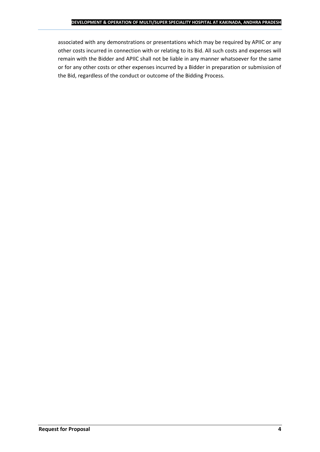associated with any demonstrations or presentations which may be required by APIIC or any other costs incurred in connection with or relating to its Bid. All such costs and expenses will remain with the Bidder and APIIC shall not be liable in any manner whatsoever for the same or for any other costs or other expenses incurred by a Bidder in preparation or submission of the Bid, regardless of the conduct or outcome of the Bidding Process.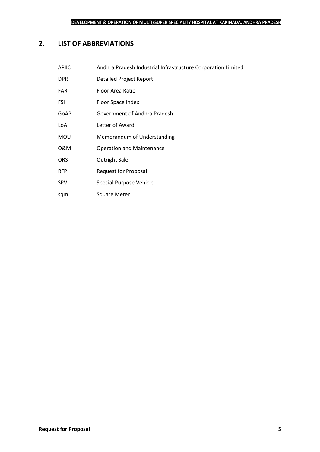## <span id="page-4-0"></span>**2. LIST OF ABBREVIATIONS**

| <b>APIIC</b> | Andhra Pradesh Industrial Infrastructure Corporation Limited |
|--------------|--------------------------------------------------------------|
| <b>DPR</b>   | <b>Detailed Project Report</b>                               |
| <b>FAR</b>   | Floor Area Ratio                                             |
| <b>FSI</b>   | Floor Space Index                                            |
| GoAP         | Government of Andhra Pradesh                                 |
| LoA          | Letter of Award                                              |
| <b>MOU</b>   | Memorandum of Understanding                                  |
| 0&M          | <b>Operation and Maintenance</b>                             |
| <b>ORS</b>   | <b>Outright Sale</b>                                         |
| <b>RFP</b>   | <b>Request for Proposal</b>                                  |
| <b>SPV</b>   | Special Purpose Vehicle                                      |

sqm Square Meter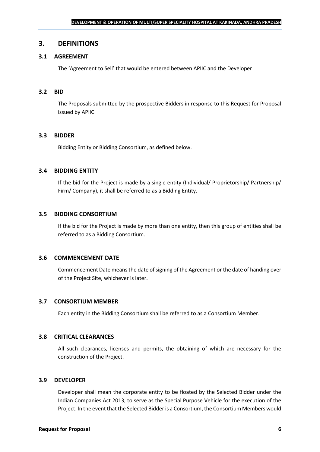#### <span id="page-5-0"></span>**3. DEFINITIONS**

## **3.1 AGREEMENT**

The 'Agreement to Sell' that would be entered between APIIC and the Developer

#### **3.2 BID**

The Proposals submitted by the prospective Bidders in response to this Request for Proposal issued by APIIC.

#### **3.3 BIDDER**

Bidding Entity or Bidding Consortium, as defined below.

#### **3.4 BIDDING ENTITY**

If the bid for the Project is made by a single entity (Individual/ Proprietorship/ Partnership/ Firm/ Company), it shall be referred to as a Bidding Entity.

#### **3.5 BIDDING CONSORTIUM**

If the bid for the Project is made by more than one entity, then this group of entities shall be referred to as a Bidding Consortium.

#### **3.6 COMMENCEMENT DATE**

Commencement Date means the date of signing of the Agreement or the date of handing over of the Project Site, whichever is later.

#### **3.7 CONSORTIUM MEMBER**

Each entity in the Bidding Consortium shall be referred to as a Consortium Member.

#### **3.8 CRITICAL CLEARANCES**

All such clearances, licenses and permits, the obtaining of which are necessary for the construction of the Project.

#### **3.9 DEVELOPER**

Developer shall mean the corporate entity to be floated by the Selected Bidder under the Indian Companies Act 2013, to serve as the Special Purpose Vehicle for the execution of the Project. In the event that the Selected Bidder is a Consortium, the Consortium Members would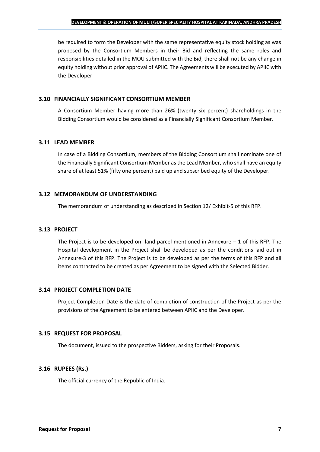be required to form the Developer with the same representative equity stock holding as was proposed by the Consortium Members in their Bid and reflecting the same roles and responsibilities detailed in the MOU submitted with the Bid, there shall not be any change in equity holding without prior approval of APIIC. The Agreements will be executed by APIIC with the Developer

## **3.10 FINANCIALLY SIGNIFICANT CONSORTIUM MEMBER**

A Consortium Member having more than 26% (twenty six percent) shareholdings in the Bidding Consortium would be considered as a Financially Significant Consortium Member.

## **3.11 LEAD MEMBER**

In case of a Bidding Consortium, members of the Bidding Consortium shall nominate one of the Financially Significant Consortium Member as the Lead Member, who shall have an equity share of at least 51% (fifty one percent) paid up and subscribed equity of the Developer.

## **3.12 MEMORANDUM OF UNDERSTANDING**

The memorandum of understanding as described in Section 12/ Exhibit-5 of this RFP.

## **3.13 PROJECT**

The Project is to be developed on land parcel mentioned in Annexure  $-1$  of this RFP. The Hospital development in the Project shall be developed as per the conditions laid out in Annexure-3 of this RFP. The Project is to be developed as per the terms of this RFP and all items contracted to be created as per Agreement to be signed with the Selected Bidder.

## **3.14 PROJECT COMPLETION DATE**

Project Completion Date is the date of completion of construction of the Project as per the provisions of the Agreement to be entered between APIIC and the Developer.

## **3.15 REQUEST FOR PROPOSAL**

The document, issued to the prospective Bidders, asking for their Proposals.

## **3.16 RUPEES (Rs.)**

The official currency of the Republic of India.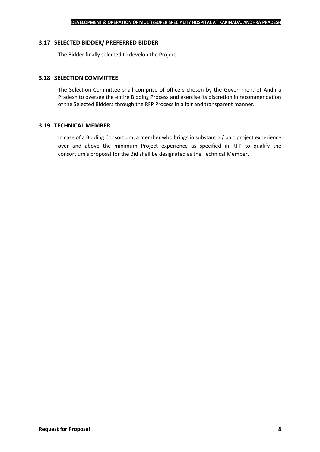#### **3.17 SELECTED BIDDER/ PREFERRED BIDDER**

The Bidder finally selected to develop the Project.

#### **3.18 SELECTION COMMITTEE**

The Selection Committee shall comprise of officers chosen by the Government of Andhra Pradesh to oversee the entire Bidding Process and exercise its discretion in recommendation of the Selected Bidders through the RFP Process in a fair and transparent manner.

#### **3.19 TECHNICAL MEMBER**

In case of a Bidding Consortium, a member who brings in substantial/ part project experience over and above the minimum Project experience as specified in RFP to qualify the consortium's proposal for the Bid shall be designated as the Technical Member.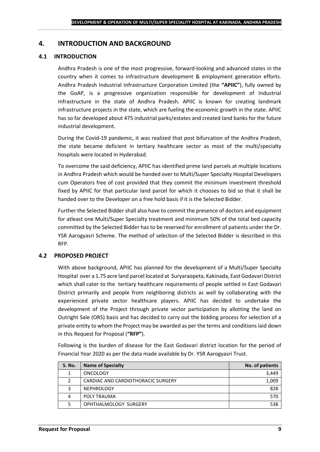## <span id="page-8-0"></span>**4. INTRODUCTION AND BACKGROUND**

## **4.1 INTRODUCTION**

Andhra Pradesh is one of the most progressive, forward-looking and advanced states in the country when it comes to infrastructure development & employment generation efforts. Andhra Pradesh Industrial Infrastructure Corporation Limited (the **"APIIC"**), fully owned by the GoAP, is a progressive organization responsible for development of Industrial Infrastructure in the state of Andhra Pradesh. APIIC is known for creating landmark infrastructure projects in the state, which are fueling the economic growth in the state. APIIC has so far developed about 475 industrial parks/estates and created land banks for the future industrial development.

During the Covid-19 pandemic, it was realized that post bifurcation of the Andhra Pradesh, the state became deficient in tertiary healthcare sector as most of the multi/specialty hospitals were located in Hyderabad.

To overcome the said deficiency, APIIC has identified prime land parcels at multiple locations in Andhra Pradesh which would be handed over to Multi/Super Specialty Hospital Developers cum Operators free of cost provided that they commit the minimum investment threshold fixed by APIIC for that particular land parcel for which it chooses to bid so that it shall be handed over to the Developer on a free hold basis if it is the Selected Bidder.

Further the Selected Bidder shall also have to commit the presence of doctors and equipment for atleast one Multi/Super Specialty treatment and minimum 50% of the total bed capacity committed by the Selected Bidder has to be reserved for enrollment of patients under the Dr. YSR Aarogyasri Scheme. The method of selection of the Selected Bidder is described in this RFP.

#### **4.2 PROPOSED PROJECT**

With above background, APIIC has planned for the development of a Multi/Super Specialty Hospital over a 1.75 acre land parcel located at Suryaraopeta, Kakinada, East Godavari District which shall cater to the tertiary healthcare requirements of people settled in East Godavari District primarily and people from neighboring districts as well by collaborating with the experienced private sector healthcare players. APIIC has decided to undertake the development of the Project through private sector participation by allotting the land on Outright Sale (ORS) basis and has decided to carry out the bidding process for selection of a private entity to whom the Project may be awarded as per the terms and conditions laid down in this Request for Proposal (**"RFP"**).

Following is the burden of disease for the East Godavari district location for the period of Financial Year 2020 as per the data made available by Dr. YSR Aarogyasri Trust.

| <b>S. No.</b> | <b>Name of Specialty</b>           | No. of patients |
|---------------|------------------------------------|-----------------|
|               | <b>ONCOLOGY</b>                    | 3,449           |
|               | CARDIAC AND CARDIOTHORACIC SURGERY | 1,009           |
| 3             | <b>NEPHROLOGY</b>                  | 828             |
| 4             | POLY TRAUMA                        | 570             |
|               | OPHTHALMOLOGY SURGERY              | 538             |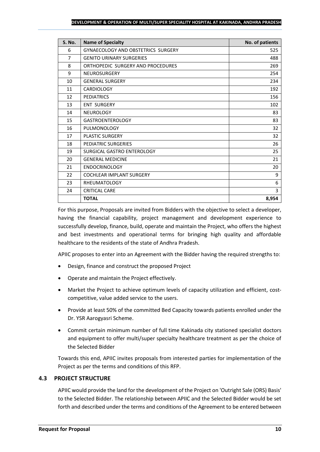| <b>S. No.</b>  | <b>Name of Specialty</b>                  | No. of patients |
|----------------|-------------------------------------------|-----------------|
| 6              | <b>GYNAECOLOGY AND OBSTETRICS SURGERY</b> | 525             |
| $\overline{7}$ | <b>GENITO URINARY SURGERIES</b>           | 488             |
| 8              | ORTHOPEDIC SURGERY AND PROCEDURES         | 269             |
| 9              | <b>NEUROSURGERY</b>                       | 254             |
| 10             | <b>GENERAL SURGERY</b>                    | 234             |
| 11             | <b>CARDIOLOGY</b>                         | 192             |
| 12             | <b>PEDIATRICS</b>                         | 156             |
| 13             | <b>ENT SURGERY</b>                        | 102             |
| 14             | NEUROLOGY                                 | 83              |
| 15             | <b>GASTROENTEROLOGY</b>                   | 83              |
| 16             | <b>PULMONOLOGY</b>                        | 32              |
| 17             | <b>PLASTIC SURGERY</b>                    | 32              |
| 18             | PEDIATRIC SURGERIES                       | 26              |
| 19             | SURGICAL GASTRO ENTEROLOGY                | 25              |
| 20             | <b>GENERAL MEDICINE</b>                   | 21              |
| 21             | <b>ENDOCRINOLOGY</b>                      | 20              |
| 22             | <b>COCHLEAR IMPLANT SURGERY</b>           | 9               |
| 23             | <b>RHEUMATOLOGY</b>                       | 6               |
| 24             | <b>CRITICAL CARE</b>                      | 3               |
|                | <b>TOTAL</b>                              | 8,954           |

For this purpose, Proposals are invited from Bidders with the objective to select a developer, having the financial capability, project management and development experience to successfully develop, finance, build, operate and maintain the Project, who offers the highest and best investments and operational terms for bringing high quality and affordable healthcare to the residents of the state of Andhra Pradesh.

APIIC proposes to enter into an Agreement with the Bidder having the required strengths to:

- Design, finance and construct the proposed Project
- Operate and maintain the Project effectively.
- Market the Project to achieve optimum levels of capacity utilization and efficient, costcompetitive, value added service to the users.
- Provide at least 50% of the committed Bed Capacity towards patients enrolled under the Dr. YSR Aarogyasri Scheme.
- Commit certain minimum number of full time Kakinada city stationed specialist doctors and equipment to offer multi/super specialty healthcare treatment as per the choice of the Selected Bidder

Towards this end, APIIC invites proposals from interested parties for implementation of the Project as per the terms and conditions of this RFP.

## **4.3 PROJECT STRUCTURE**

APIIC would provide the land for the development of the Project on 'Outright Sale (ORS) Basis' to the Selected Bidder. The relationship between APIIC and the Selected Bidder would be set forth and described under the terms and conditions of the Agreement to be entered between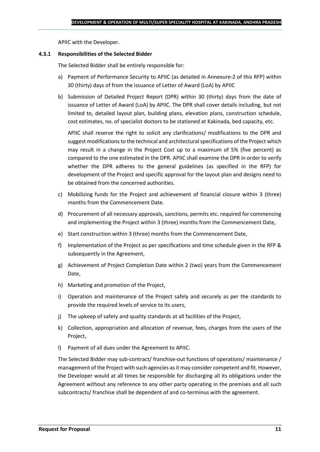APIIC with the Developer.

#### **4.3.1 Responsibilities of the Selected Bidder**

The Selected Bidder shall be entirely responsible for:

- a) Payment of Performance Security to APIIC (as detailed in Annexure-2 of this RFP) within 30 (thirty) days of from the issuance of Letter of Award (LoA) by APIIC
- b) Submission of Detailed Project Report (DPR) within 30 (thirty) days from the date of issuance of Letter of Award (LoA) by APIIC. The DPR shall cover details including, but not limited to, detailed layout plan, building plans, elevation plans, construction schedule, cost estimates, no. of specialist doctors to be stationed at Kakinada, bed capacity, etc.

APIIC shall reserve the right to solicit any clarifications/ modifications to the DPR and suggest modifications to the technical and architectural specifications of the Project which may result in a change in the Project Cost up to a maximum of 5% (five percent) as compared to the one estimated in the DPR. APIIC shall examine the DPR in order to verify whether the DPR adheres to the general guidelines (as specified in the RFP) for development of the Project and specific approval for the layout plan and designs need to be obtained from the concerned authorities.

- c) Mobilizing funds for the Project and achievement of financial closure within 3 (three) months from the Commencement Date.
- d) Procurement of all necessary approvals, sanctions, permits etc. required for commencing and implementing the Project within 3 (three) months from the Commencement Date,
- e) Start construction within 3 (three) months from the Commencement Date,
- f) Implementation of the Project as per specifications and time schedule given in the RFP & subsequently in the Agreement,
- g) Achievement of Project Completion Date within 2 (two) years from the Commencement Date,
- h) Marketing and promotion of the Project,
- i) Operation and maintenance of the Project safely and securely as per the standards to provide the required levels of service to its users,
- j) The upkeep of safety and quality standards at all facilities of the Project,
- k) Collection, appropriation and allocation of revenue, fees, charges from the users of the Project,
- l) Payment of all dues under the Agreement to APIIC.

The Selected Bidder may sub-contract/ franchise-out functions of operations/ maintenance / management of the Project with such agencies as it may consider competent and fit. However, the Developer would at all times be responsible for discharging all its obligations under the Agreement without any reference to any other party operating in the premises and all such subcontracts/ franchise shall be dependent of and co-terminus with the agreement.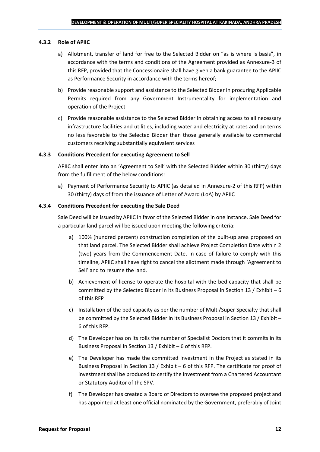#### **4.3.2 Role of APIIC**

- a) Allotment, transfer of land for free to the Selected Bidder on "as is where is basis", in accordance with the terms and conditions of the Agreement provided as Annexure-3 of this RFP, provided that the Concessionaire shall have given a bank guarantee to the APIIC as Performance Security in accordance with the terms hereof;
- b) Provide reasonable support and assistance to the Selected Bidder in procuring Applicable Permits required from any Government Instrumentality for implementation and operation of the Project
- c) Provide reasonable assistance to the Selected Bidder in obtaining access to all necessary infrastructure facilities and utilities, including water and electricity at rates and on terms no less favorable to the Selected Bidder than those generally available to commercial customers receiving substantially equivalent services

#### **4.3.3 Conditions Precedent for executing Agreement to Sell**

APIIC shall enter into an 'Agreement to Sell' with the Selected Bidder within 30 (thirty) days from the fulfillment of the below conditions:

a) Payment of Performance Security to APIIC (as detailed in Annexure-2 of this RFP) within 30 (thirty) days of from the issuance of Letter of Award (LoA) by APIIC

#### **4.3.4 Conditions Precedent for executing the Sale Deed**

Sale Deed will be issued by APIIC in favor of the Selected Bidder in one instance. Sale Deed for a particular land parcel will be issued upon meeting the following criteria: -

- a) 100% (hundred percent) construction completion of the built-up area proposed on that land parcel. The Selected Bidder shall achieve Project Completion Date within 2 (two) years from the Commencement Date. In case of failure to comply with this timeline, APIIC shall have right to cancel the allotment made through 'Agreement to Sell' and to resume the land.
- b) Achievement of license to operate the hospital with the bed capacity that shall be committed by the Selected Bidder in its Business Proposal in Section 13 / Exhibit – 6 of this RFP
- c) Installation of the bed capacity as per the number of Multi/Super Specialty that shall be committed by the Selected Bidder in its Business Proposal in Section 13 / Exhibit – 6 of this RFP.
- d) The Developer has on its rolls the number of Specialist Doctors that it commits in its Business Proposal in Section 13 / Exhibit – 6 of this RFP.
- e) The Developer has made the committed investment in the Project as stated in its Business Proposal in Section 13 / Exhibit – 6 of this RFP. The certificate for proof of investment shall be produced to certify the investment from a Chartered Accountant or Statutory Auditor of the SPV.
- f) The Developer has created a Board of Directors to oversee the proposed project and has appointed at least one official nominated by the Government, preferably of Joint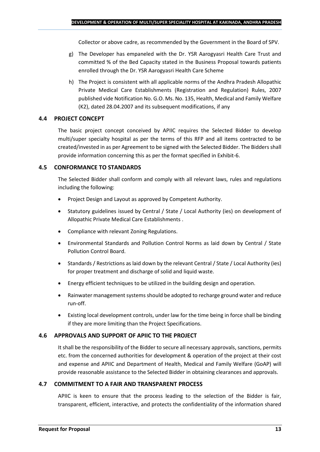Collector or above cadre, as recommended by the Government in the Board of SPV.

- g) The Developer has empaneled with the Dr. YSR Aarogyasri Health Care Trust and committed % of the Bed Capacity stated in the Business Proposal towards patients enrolled through the Dr. YSR Aarogyasri Health Care Scheme
- h) The Project is consistent with all applicable norms of the Andhra Pradesh Allopathic Private Medical Care Establishments (Registration and Regulation) Rules, 2007 published vide Notification No. G.O. Ms. No. 135, Health, Medical and Family Welfare (K2), dated 28.04.2007 and its subsequent modifications, if any

## **4.4 PROJECT CONCEPT**

The basic project concept conceived by APIIC requires the Selected Bidder to develop multi/super specialty hospital as per the terms of this RFP and all items contracted to be created/invested in as per Agreement to be signed with the Selected Bidder. The Bidders shall provide information concerning this as per the format specified in Exhibit-6.

## **4.5 CONFORMANCE TO STANDARDS**

The Selected Bidder shall conform and comply with all relevant laws, rules and regulations including the following:

- Project Design and Layout as approved by Competent Authority.
- Statutory guidelines issued by Central / State / Local Authority (ies) on development of Allopathic Private Medical Care Establishments .
- Compliance with relevant Zoning Regulations.
- Environmental Standards and Pollution Control Norms as laid down by Central / State Pollution Control Board.
- Standards / Restrictions as laid down by the relevant Central / State / Local Authority (ies) for proper treatment and discharge of solid and liquid waste.
- Energy efficient techniques to be utilized in the building design and operation.
- Rainwater management systems should be adopted to recharge ground water and reduce run-off.
- Existing local development controls, under law for the time being in force shall be binding if they are more limiting than the Project Specifications.

## **4.6 APPROVALS AND SUPPORT OF APIIC TO THE PROJECT**

It shall be the responsibility of the Bidder to secure all necessary approvals, sanctions, permits etc. from the concerned authorities for development & operation of the project at their cost and expense and APIIC and Department of Health, Medical and Family Welfare (GoAP) will provide reasonable assistance to the Selected Bidder in obtaining clearances and approvals.

## **4.7 COMMITMENT TO A FAIR AND TRANSPARENT PROCESS**

APIIC is keen to ensure that the process leading to the selection of the Bidder is fair, transparent, efficient, interactive, and protects the confidentiality of the information shared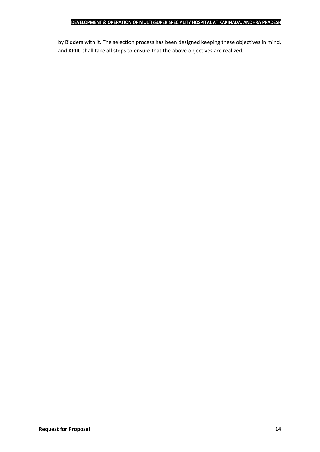by Bidders with it. The selection process has been designed keeping these objectives in mind, and APIIC shall take all steps to ensure that the above objectives are realized.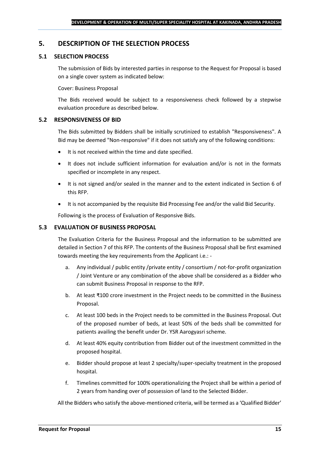## <span id="page-14-0"></span>**5. DESCRIPTION OF THE SELECTION PROCESS**

## **5.1 SELECTION PROCESS**

The submission of Bids by interested parties in response to the Request for Proposal is based on a single cover system as indicated below:

#### Cover: Business Proposal

The Bids received would be subject to a responsiveness check followed by a stepwise evaluation procedure as described below.

#### **5.2 RESPONSIVENESS OF BID**

The Bids submitted by Bidders shall be initially scrutinized to establish "Responsiveness". A Bid may be deemed "Non-responsive" if it does not satisfy any of the following conditions:

- It is not received within the time and date specified.
- It does not include sufficient information for evaluation and/or is not in the formats specified or incomplete in any respect.
- It is not signed and/or sealed in the manner and to the extent indicated in Section 6 of this RFP.
- It is not accompanied by the requisite Bid Processing Fee and/or the valid Bid Security.

Following is the process of Evaluation of Responsive Bids.

#### **5.3 EVALUATION OF BUSINESS PROPOSAL**

The Evaluation Criteria for the Business Proposal and the information to be submitted are detailed in Section 7 of this RFP. The contents of the Business Proposal shall be first examined towards meeting the key requirements from the Applicant i.e.: -

- a. Any individual / public entity / private entity / consortium / not-for-profit organization / Joint Venture or any combination of the above shall be considered as a Bidder who can submit Business Proposal in response to the RFP.
- b. At least ₹100 crore investment in the Project needs to be committed in the Business Proposal.
- c. At least 100 beds in the Project needs to be committed in the Business Proposal. Out of the proposed number of beds, at least 50% of the beds shall be committed for patients availing the benefit under Dr. YSR Aarogyasri scheme.
- d. At least 40% equity contribution from Bidder out of the investment committed in the proposed hospital.
- e. Bidder should propose at least 2 specialty/super-specialty treatment in the proposed hospital.
- f. Timelines committed for 100% operationalizing the Project shall be within a period of 2 years from handing over of possession of land to the Selected Bidder.

All the Bidders who satisfy the above-mentioned criteria, will be termed as a 'Qualified Bidder'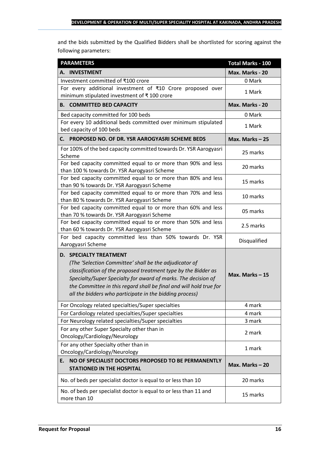and the bids submitted by the Qualified Bidders shall be shortlisted for scoring against the following parameters:

| <b>PARAMETERS</b>                                                                                                                                                                                                                                                                                                                                           | <b>Total Marks - 100</b> |
|-------------------------------------------------------------------------------------------------------------------------------------------------------------------------------------------------------------------------------------------------------------------------------------------------------------------------------------------------------------|--------------------------|
| A. INVESTMENT                                                                                                                                                                                                                                                                                                                                               | Max. Marks - 20          |
| Investment committed of ₹100 crore                                                                                                                                                                                                                                                                                                                          | 0 Mark                   |
| For every additional investment of ₹10 Crore proposed over<br>minimum stipulated investment of ₹100 crore                                                                                                                                                                                                                                                   | 1 Mark                   |
| <b>B. COMMITTED BED CAPACITY</b>                                                                                                                                                                                                                                                                                                                            | Max. Marks - 20          |
| Bed capacity committed for 100 beds                                                                                                                                                                                                                                                                                                                         | 0 Mark                   |
| For every 10 additional beds committed over minimum stipulated<br>bed capacity of 100 beds                                                                                                                                                                                                                                                                  | 1 Mark                   |
| PROPOSED NO. OF DR. YSR AAROGYASRI SCHEME BEDS<br>С. —                                                                                                                                                                                                                                                                                                      | Max. Marks-25            |
| For 100% of the bed capacity committed towards Dr. YSR Aarogyasri<br>Scheme                                                                                                                                                                                                                                                                                 | 25 marks                 |
| For bed capacity committed equal to or more than 90% and less<br>than 100 % towards Dr. YSR Aarogyasri Scheme                                                                                                                                                                                                                                               | 20 marks                 |
| For bed capacity committed equal to or more than 80% and less<br>than 90 % towards Dr. YSR Aarogyasri Scheme                                                                                                                                                                                                                                                | 15 marks                 |
| For bed capacity committed equal to or more than 70% and less<br>than 80 % towards Dr. YSR Aarogyasri Scheme                                                                                                                                                                                                                                                | 10 marks                 |
| For bed capacity committed equal to or more than 60% and less<br>than 70 % towards Dr. YSR Aarogyasri Scheme                                                                                                                                                                                                                                                | 05 marks                 |
| For bed capacity committed equal to or more than 50% and less<br>than 60 % towards Dr. YSR Aarogyasri Scheme                                                                                                                                                                                                                                                | 2.5 marks                |
| For bed capacity committed less than 50% towards Dr. YSR<br>Aarogyasri Scheme                                                                                                                                                                                                                                                                               | Disqualified             |
| <b>D. SPECIALTY TREATMENT</b><br>(The 'Selection Committee' shall be the adjudicator of<br>classification of the proposed treatment type by the Bidder as<br>Specialty/Super Specialty for award of marks. The decision of<br>the Committee in this regard shall be final and will hold true for<br>all the bidders who participate in the bidding process) | Max. Marks $-15$         |
| For Oncology related specialties/Super specialties                                                                                                                                                                                                                                                                                                          | 4 mark                   |
| For Cardiology related specialties/Super specialties                                                                                                                                                                                                                                                                                                        | 4 mark                   |
| For Neurology related specialties/Super specialties                                                                                                                                                                                                                                                                                                         | 3 mark                   |
| For any other Super Specialty other than in<br>Oncology/Cardiology/Neurology                                                                                                                                                                                                                                                                                | 2 mark                   |
| For any other Specialty other than in<br>Oncology/Cardiology/Neurology                                                                                                                                                                                                                                                                                      | 1 mark                   |
| NO OF SPECIALIST DOCTORS PROPOSED TO BE PERMANENTLY<br>E.<br><b>STATIONED IN THE HOSPITAL</b>                                                                                                                                                                                                                                                               | Max. Marks-20            |
| No. of beds per specialist doctor is equal to or less than 10                                                                                                                                                                                                                                                                                               | 20 marks                 |
| No. of beds per specialist doctor is equal to or less than 11 and<br>more than 10                                                                                                                                                                                                                                                                           | 15 marks                 |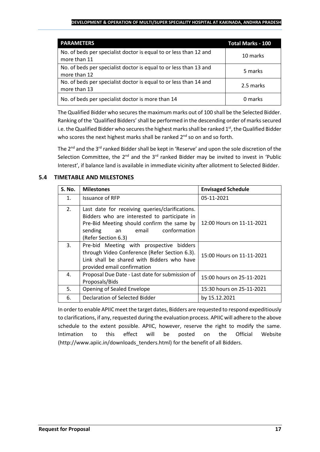#### **DEVELOPMENT & OPERATION OF MULTI/SUPER SPECIALITY HOSPITAL AT KAKINADA, ANDHRA PRADESH**

| <b>PARAMETERS</b>                                                                 | <b>Total Marks - 100</b> |
|-----------------------------------------------------------------------------------|--------------------------|
| No. of beds per specialist doctor is equal to or less than 12 and<br>more than 11 | 10 marks                 |
| No. of beds per specialist doctor is equal to or less than 13 and<br>more than 12 | 5 marks                  |
| No. of beds per specialist doctor is equal to or less than 14 and<br>more than 13 | 2.5 marks                |
| No. of beds per specialist doctor is more than 14                                 | 0 marks                  |

The Qualified Bidder who securesthe maximum marks out of 100 shall be the Selected Bidder. Ranking of the 'Qualified Bidders'shall be performed in the descending order of marks secured i.e. the Qualified Bidder who secures the highest marks shall be ranked  $1<sup>st</sup>$ , the Qualified Bidder who scores the next highest marks shall be ranked 2<sup>nd</sup> so on and so forth.

The 2<sup>nd</sup> and the 3<sup>rd</sup> ranked Bidder shall be kept in 'Reserve' and upon the sole discretion of the Selection Committee, the  $2^{nd}$  and the  $3^{rd}$  ranked Bidder may be invited to invest in 'Public Interest', if balance land is available in immediate vicinity after allotment to Selected Bidder.

## **5.4 TIMETABLE AND MILESTONES**

| <b>S. No.</b>  | <b>Milestones</b>                                                                                                                                                                                              | <b>Envisaged Schedule</b> |
|----------------|----------------------------------------------------------------------------------------------------------------------------------------------------------------------------------------------------------------|---------------------------|
| $\mathbf{1}$ . | <b>Issuance of RFP</b>                                                                                                                                                                                         | 05-11-2021                |
| 2.             | Last date for receiving queries/clarifications.<br>Bidders who are interested to participate in<br>Pre-Bid Meeting should confirm the same by<br>conformation<br>sending<br>email<br>an<br>(Refer Section 6.3) | 12:00 Hours on 11-11-2021 |
| 3.             | Pre-bid Meeting with prospective bidders<br>through Video Conference (Refer Section 6.3).<br>Link shall be shared with Bidders who have<br>provided email confirmation                                         | 15:00 Hours on 11-11-2021 |
| 4.             | Proposal Due Date - Last date for submission of<br>Proposals/Bids                                                                                                                                              | 15:00 hours on 25-11-2021 |
| 5.             | Opening of Sealed Envelope                                                                                                                                                                                     | 15:30 hours on 25-11-2021 |
| 6.             | Declaration of Selected Bidder                                                                                                                                                                                 | by 15.12.2021             |

In order to enable APIIC meet the target dates, Bidders are requested to respond expeditiously to clarifications, if any, requested during the evaluation process. APIIC will adhere to the above schedule to the extent possible. APIIC, however, reserve the right to modify the same. Intimation to this effect will be posted on the Official Website (http://www.apiic.in/downloads\_tenders.html) for the benefit of all Bidders.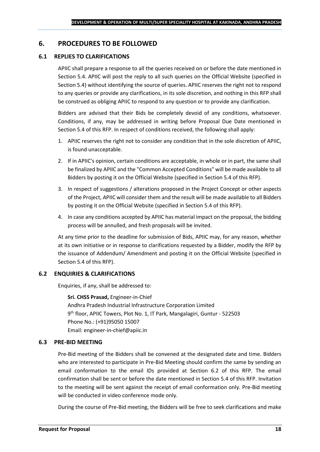## <span id="page-17-0"></span>**6. PROCEDURES TO BE FOLLOWED**

#### **6.1 REPLIES TO CLARIFICATIONS**

APIIC shall prepare a response to all the queries received on or before the date mentioned in Section 5.4. APIIC will post the reply to all such queries on the Official Website (specified in Section 5.4) without identifying the source of queries. APIIC reserves the right not to respond to any queries or provide any clarifications, in its sole discretion, and nothing in this RFP shall be construed as obliging APIIC to respond to any question or to provide any clarification.

Bidders are advised that their Bids be completely devoid of any conditions, whatsoever. Conditions, if any, may be addressed in writing before Proposal Due Date mentioned in Section 5.4 of this RFP. In respect of conditions received, the following shall apply:

- 1. APIIC reserves the right not to consider any condition that in the sole discretion of APIIC, is found unacceptable.
- 2. If in APIIC's opinion, certain conditions are acceptable, in whole or in part, the same shall be finalized by APIIC and the "Common Accepted Conditions" will be made available to all Bidders by posting it on the Official Website (specified in Section 5.4 of this RFP).
- 3. In respect of suggestions / alterations proposed in the Project Concept or other aspects of the Project, APIIC will consider them and the result will be made available to all Bidders by posting it on the Official Website (specified in Section 5.4 of this RFP).
- 4. In case any conditions accepted by APIIC has material impact on the proposal, the bidding process will be annulled, and fresh proposals will be invited.

At any time prior to the deadline for submission of Bids, APIIC may, for any reason, whether at its own initiative or in response to clarifications requested by a Bidder, modify the RFP by the issuance of Addendum/ Amendment and posting it on the Official Website (specified in Section 5.4 of this RFP).

#### **6.2 ENQUIRIES & CLARIFICATIONS**

Enquiries, if any, shall be addressed to:

**Sri. CHSS Prasad,** Engineer-in-Chief Andhra Pradesh Industrial Infrastructure Corporation Limited 9 th floor, APIIC Towers, Plot No. 1, IT Park, Mangalagiri, Guntur - 522503 Phone No.: (+91)95050 15007 Email: engineer-in-chief@apiic.in

#### **6.3 PRE-BID MEETING**

Pre-Bid meeting of the Bidders shall be convened at the designated date and time. Bidders who are interested to participate in Pre-Bid Meeting should confirm the same by sending an email conformation to the email IDs provided at Section 6.2 of this RFP. The email confirmation shall be sent or before the date mentioned in Section 5.4 of this RFP. Invitation to the meeting will be sent against the receipt of email conformation only. Pre-Bid meeting will be conducted in video conference mode only.

During the course of Pre-Bid meeting, the Bidders will be free to seek clarifications and make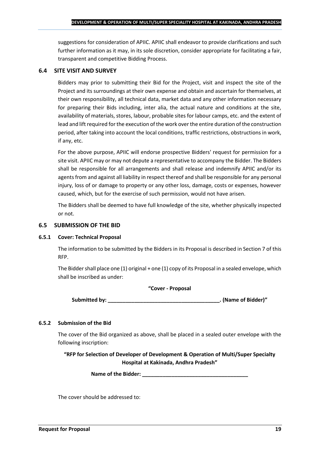suggestions for consideration of APIIC. APIIC shall endeavor to provide clarifications and such further information as it may, in its sole discretion, consider appropriate for facilitating a fair, transparent and competitive Bidding Process.

## **6.4 SITE VISIT AND SURVEY**

Bidders may prior to submitting their Bid for the Project, visit and inspect the site of the Project and its surroundings at their own expense and obtain and ascertain for themselves, at their own responsibility, all technical data, market data and any other information necessary for preparing their Bids including, inter alia, the actual nature and conditions at the site, availability of materials, stores, labour, probable sites for labour camps, etc. and the extent of lead and lift required for the execution of the work over the entire duration of the construction period, after taking into account the local conditions, traffic restrictions, obstructions in work, if any, etc.

For the above purpose, APIIC will endorse prospective Bidders' request for permission for a site visit. APIIC may or may not depute a representative to accompany the Bidder. The Bidders shall be responsible for all arrangements and shall release and indemnify APIIC and/or its agents from and against all liability in respect thereof and shall be responsible for any personal injury, loss of or damage to property or any other loss, damage, costs or expenses, however caused, which, but for the exercise of such permission, would not have arisen.

The Bidders shall be deemed to have full knowledge of the site, whether physically inspected or not.

## **6.5 SUBMISSION OF THE BID**

#### **6.5.1 Cover: Technical Proposal**

The information to be submitted by the Bidders in its Proposal is described in Section 7 of this RFP.

The Bidder shall place one (1) original + one (1) copy of its Proposal in a sealed envelope, which shall be inscribed as under:

#### **"Cover - Proposal**

**Submitted by: \_\_\_\_\_\_\_\_\_\_\_\_\_\_\_\_\_\_\_\_\_\_\_\_\_\_\_\_\_\_\_\_\_\_\_\_\_\_. (Name of Bidder)"**

## **6.5.2 Submission of the Bid**

The cover of the Bid organized as above, shall be placed in a sealed outer envelope with the following inscription:

**"RFP for Selection of Developer of Development & Operation of Multi/Super Specialty Hospital at Kakinada, Andhra Pradesh"**

Name of the Bidder: **We are also asset to the Bidder**:

The cover should be addressed to: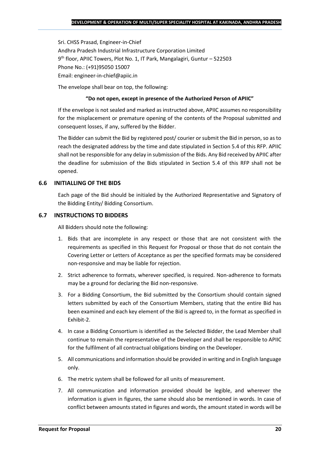Sri. CHSS Prasad, Engineer-in-Chief Andhra Pradesh Industrial Infrastructure Corporation Limited 9 th floor, APIIC Towers, Plot No. 1, IT Park, Mangalagiri, Guntur – 522503 Phone No.: (+91)95050 15007 Email: engineer-in-chief@apiic.in

The envelope shall bear on top, the following:

## **"Do not open, except in presence of the Authorized Person of APIIC"**

If the envelope is not sealed and marked as instructed above, APIIC assumes no responsibility for the misplacement or premature opening of the contents of the Proposal submitted and consequent losses, if any, suffered by the Bidder.

The Bidder can submit the Bid by registered post/ courier or submit the Bid in person, so as to reach the designated address by the time and date stipulated in Section 5.4 of this RFP. APIIC shall not be responsible for any delay in submission of the Bids. Any Bid received by APIIC after the deadline for submission of the Bids stipulated in Section 5.4 of this RFP shall not be opened.

## **6.6 INITIALLING OF THE BIDS**

Each page of the Bid should be initialed by the Authorized Representative and Signatory of the Bidding Entity/ Bidding Consortium.

## **6.7 INSTRUCTIONS TO BIDDERS**

All Bidders should note the following:

- 1. Bids that are incomplete in any respect or those that are not consistent with the requirements as specified in this Request for Proposal or those that do not contain the Covering Letter or Letters of Acceptance as per the specified formats may be considered non-responsive and may be liable for rejection.
- 2. Strict adherence to formats, wherever specified, is required. Non-adherence to formats may be a ground for declaring the Bid non-responsive.
- 3. For a Bidding Consortium, the Bid submitted by the Consortium should contain signed letters submitted by each of the Consortium Members, stating that the entire Bid has been examined and each key element of the Bid is agreed to, in the format as specified in Exhibit-2.
- 4. In case a Bidding Consortium is identified as the Selected Bidder, the Lead Member shall continue to remain the representative of the Developer and shall be responsible to APIIC for the fulfilment of all contractual obligations binding on the Developer.
- 5. All communications and information should be provided in writing and in English language only.
- 6. The metric system shall be followed for all units of measurement.
- 7. All communication and information provided should be legible, and wherever the information is given in figures, the same should also be mentioned in words. In case of conflict between amounts stated in figures and words, the amount stated in words will be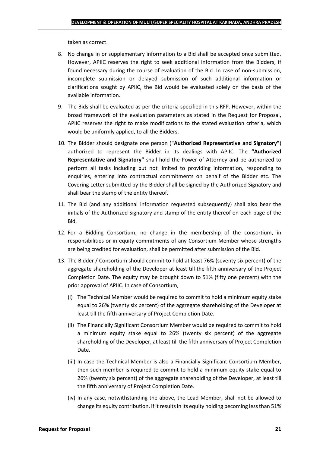taken as correct.

- 8. No change in or supplementary information to a Bid shall be accepted once submitted. However, APIIC reserves the right to seek additional information from the Bidders, if found necessary during the course of evaluation of the Bid. In case of non-submission, incomplete submission or delayed submission of such additional information or clarifications sought by APIIC, the Bid would be evaluated solely on the basis of the available information.
- 9. The Bids shall be evaluated as per the criteria specified in this RFP. However, within the broad framework of the evaluation parameters as stated in the Request for Proposal, APIIC reserves the right to make modifications to the stated evaluation criteria, which would be uniformly applied, to all the Bidders.
- 10. The Bidder should designate one person (**"Authorized Representative and Signatory"**) authorized to represent the Bidder in its dealings with APIIC. The **"Authorized Representative and Signatory"** shall hold the Power of Attorney and be authorized to perform all tasks including but not limited to providing information, responding to enquiries, entering into contractual commitments on behalf of the Bidder etc. The Covering Letter submitted by the Bidder shall be signed by the Authorized Signatory and shall bear the stamp of the entity thereof.
- 11. The Bid (and any additional information requested subsequently) shall also bear the initials of the Authorized Signatory and stamp of the entity thereof on each page of the Bid.
- 12. For a Bidding Consortium, no change in the membership of the consortium, in responsibilities or in equity commitments of any Consortium Member whose strengths are being credited for evaluation, shall be permitted after submission of the Bid.
- 13. The Bidder / Consortium should commit to hold at least 76% (seventy six percent) of the aggregate shareholding of the Developer at least till the fifth anniversary of the Project Completion Date. The equity may be brought down to 51% (fifty one percent) with the prior approval of APIIC. In case of Consortium,
	- (i) The Technical Member would be required to commit to hold a minimum equity stake equal to 26% (twenty six percent) of the aggregate shareholding of the Developer at least till the fifth anniversary of Project Completion Date.
	- (ii) The Financially Significant Consortium Member would be required to commit to hold a minimum equity stake equal to 26% (twenty six percent) of the aggregate shareholding of the Developer, at least till the fifth anniversary of Project Completion Date.
	- (iii) In case the Technical Member is also a Financially Significant Consortium Member, then such member is required to commit to hold a minimum equity stake equal to 26% (twenty six percent) of the aggregate shareholding of the Developer, at least till the fifth anniversary of Project Completion Date.
	- (iv) In any case, notwithstanding the above, the Lead Member, shall not be allowed to change its equity contribution, if it results in its equity holding becoming less than 51%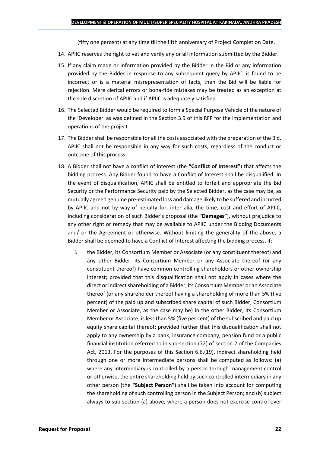(fifty one percent) at any time till the fifth anniversary of Project Completion Date.

- 14. APIIC reserves the right to vet and verify any or all information submitted by the Bidder.
- 15. If any claim made or information provided by the Bidder in the Bid or any information provided by the Bidder in response to any subsequent query by APIIC, is found to be incorrect or is a material misrepresentation of facts, then the Bid will be liable for rejection. Mere clerical errors or bona-fide mistakes may be treated as an exception at the sole discretion of APIIC and if APIIC is adequately satisfied.
- 16. The Selected Bidder would be required to form a Special Purpose Vehicle of the nature of the 'Developer' as was defined in the Section 3.9 of this RFP for the implementation and operations of the project.
- 17. The Bidder shall be responsible for all the costs associated with the preparation of the Bid. APIIC shall not be responsible in any way for such costs, regardless of the conduct or outcome of this process.
- 18. A Bidder shall not have a conflict of interest (the **"Conflict of Interest"**) that affects the bidding process. Any Bidder found to have a Conflict of Interest shall be disqualified. In the event of disqualification, APIIC shall be entitled to forfeit and appropriate the Bid Security or the Performance Security paid by the Selected Bidder, as the case may be, as mutually agreed genuine pre-estimated loss and damage likely to be suffered and incurred by APIIC and not by way of penalty for, inter alia, the time, cost and effort of APIIC, including consideration of such Bidder's proposal (the **"Damages"**), without prejudice to any other right or remedy that may be available to APIIC under the Bidding Documents and/ or the Agreement or otherwise. Without limiting the generality of the above, a Bidder shall be deemed to have a Conflict of Interest affecting the bidding process, if:
	- i. the Bidder, its Consortium Member or Associate (or any constituent thereof) and any other Bidder, its Consortium Member or any Associate thereof (or any constituent thereof) have common controlling shareholders or other ownership interest; provided that this disqualification shall not apply in cases where the direct or indirect shareholding of a Bidder, its Consortium Member or an Associate thereof (or any shareholder thereof having a shareholding of more than 5% (five percent) of the paid up and subscribed share capital of such Bidder, Consortium Member or Associate, as the case may be) in the other Bidder, its Consortium Member or Associate, is less than 5% (five per cent) of the subscribed and paid up equity share capital thereof; provided further that this disqualification shall not apply to any ownership by a bank, insurance company, pension fund or a public financial institution referred to in sub-section (72) of section 2 of the Companies Act, 2013. For the purposes of this Section 6.6.(19), indirect shareholding held through one or more intermediate persons shall be computed as follows: (a) where any intermediary is controlled by a person through management control or otherwise, the entire shareholding held by such controlled intermediary in any other person (the **"Subject Person"**) shall be taken into account for computing the shareholding of such controlling person in the Subject Person; and (b) subject always to sub-section (a) above, where a person does not exercise control over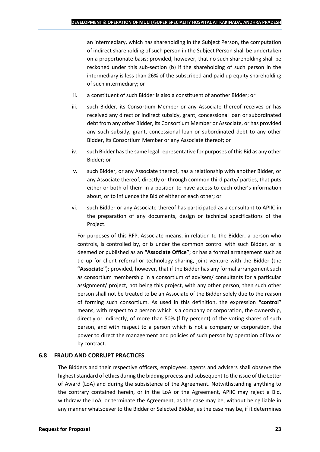an intermediary, which has shareholding in the Subject Person, the computation of indirect shareholding of such person in the Subject Person shall be undertaken on a proportionate basis; provided, however, that no such shareholding shall be reckoned under this sub-section (b) if the shareholding of such person in the intermediary is less than 26% of the subscribed and paid up equity shareholding of such intermediary; or

- ii. a constituent of such Bidder is also a constituent of another Bidder; or
- iii. such Bidder, its Consortium Member or any Associate thereof receives or has received any direct or indirect subsidy, grant, concessional loan or subordinated debt from any other Bidder, its Consortium Member or Associate, or has provided any such subsidy, grant, concessional loan or subordinated debt to any other Bidder, its Consortium Member or any Associate thereof; or
- iv. such Bidder has the same legal representative for purposes of this Bid as any other Bidder; or
- v. such Bidder, or any Associate thereof, has a relationship with another Bidder, or any Associate thereof, directly or through common third party/ parties, that puts either or both of them in a position to have access to each other's information about, or to influence the Bid of either or each other; or
- vi. such Bidder or any Associate thereof has participated as a consultant to APIIC in the preparation of any documents, design or technical specifications of the Project.

For purposes of this RFP, Associate means, in relation to the Bidder, a person who controls, is controlled by, or is under the common control with such Bidder, or is deemed or published as an **"Associate Office"**; or has a formal arrangement such as tie up for client referral or technology sharing, joint venture with the Bidder (the **"Associate"**); provided, however, that if the Bidder has any formal arrangement such as consortium membership in a consortium of advisers/ consultants for a particular assignment/ project, not being this project, with any other person, then such other person shall not be treated to be an Associate of the Bidder solely due to the reason of forming such consortium. As used in this definition, the expression **"control"**  means, with respect to a person which is a company or corporation, the ownership, directly or indirectly, of more than 50% (fifty percent) of the voting shares of such person, and with respect to a person which is not a company or corporation, the power to direct the management and policies of such person by operation of law or by contract.

## **6.8 FRAUD AND CORRUPT PRACTICES**

The Bidders and their respective officers, employees, agents and advisers shall observe the highest standard of ethics during the bidding process and subsequent to the issue of the Letter of Award (LoA) and during the subsistence of the Agreement. Notwithstanding anything to the contrary contained herein, or in the LoA or the Agreement, APIIC may reject a Bid, withdraw the LoA, or terminate the Agreement, as the case may be, without being liable in any manner whatsoever to the Bidder or Selected Bidder, as the case may be, if it determines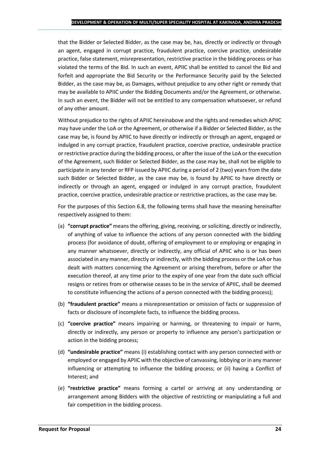that the Bidder or Selected Bidder, as the case may be, has, directly or indirectly or through an agent, engaged in corrupt practice, fraudulent practice, coercive practice, undesirable practice, false statement, misrepresentation, restrictive practice in the bidding process or has violated the terms of the Bid. In such an event, APIIC shall be entitled to cancel the Bid and forfeit and appropriate the Bid Security or the Performance Security paid by the Selected Bidder, as the case may be, as Damages, without prejudice to any other right or remedy that may be available to APIIC under the Bidding Documents and/or the Agreement, or otherwise. In such an event, the Bidder will not be entitled to any compensation whatsoever, or refund of any other amount.

Without prejudice to the rights of APIIC hereinabove and the rights and remedies which APIIC may have under the LoA or the Agreement, or otherwise if a Bidder or Selected Bidder, as the case may be, is found by APIIC to have directly or indirectly or through an agent, engaged or indulged in any corrupt practice, fraudulent practice, coercive practice, undesirable practice or restrictive practice during the bidding process, or after the issue of the LoA or the execution of the Agreement, such Bidder or Selected Bidder, as the case may be, shall not be eligible to participate in any tender or RFP issued by APIIC during a period of 2 (two) years from the date such Bidder or Selected Bidder, as the case may be, is found by APIIC to have directly or indirectly or through an agent, engaged or indulged in any corrupt practice, fraudulent practice, coercive practice, undesirable practice or restrictive practices, as the case may be.

For the purposes of this Section 6.8, the following terms shall have the meaning hereinafter respectively assigned to them:

- (a) **"corrupt practice"** means the offering, giving, receiving, or soliciting, directly or indirectly, of anything of value to influence the actions of any person connected with the bidding process (for avoidance of doubt, offering of employment to or employing or engaging in any manner whatsoever, directly or indirectly, any official of APIIC who is or has been associated in any manner, directly or indirectly, with the bidding process or the LoA or has dealt with matters concerning the Agreement or arising therefrom, before or after the execution thereof, at any time prior to the expiry of one year from the date such official resigns or retires from or otherwise ceases to be in the service of APIIC, shall be deemed to constitute influencing the actions of a person connected with the bidding process);
- (b) **"fraudulent practice"** means a misrepresentation or omission of facts or suppression of facts or disclosure of incomplete facts, to influence the bidding process.
- (c) **"coercive practice"** means impairing or harming, or threatening to impair or harm, directly or indirectly, any person or property to influence any person's participation or action in the bidding process;
- (d) **"undesirable practice"** means (i) establishing contact with any person connected with or employed or engaged by APIIC with the objective of canvassing, lobbying or in any manner influencing or attempting to influence the bidding process; or (ii) having a Conflict of Interest; and
- (e) **"restrictive practice"** means forming a cartel or arriving at any understanding or arrangement among Bidders with the objective of restricting or manipulating a full and fair competition in the bidding process.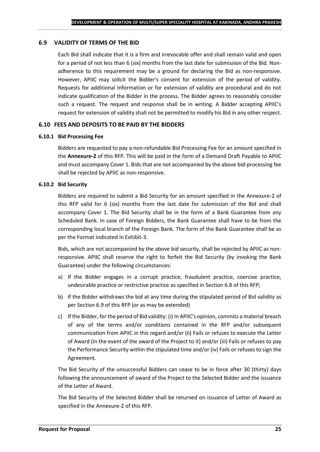## **6.9 VALIDITY OF TERMS OF THE BID**

Each Bid shall indicate that it is a firm and irrevocable offer and shall remain valid and open for a period of not less than 6 (six) months from the last date for submission of the Bid. Nonadherence to this requirement may be a ground for declaring the Bid as non-responsive. However, APIIC may solicit the Bidder's consent for extension of the period of validity. Requests for additional Information or for extension of validity are procedural and do not indicate qualification of the Bidder in the process. The Bidder agrees to reasonably consider such a request. The request and response shall be in writing. A Bidder accepting APIIC's request for extension of validity shall not be permitted to modify his Bid in any other respect.

#### **6.10 FEES AND DEPOSITS TO BE PAID BY THE BIDDERS**

#### **6.10.1 Bid Processing Fee**

Bidders are requested to pay a non-refundable Bid Processing Fee for an amount specified in the **Annexure-2** of this RFP. This will be paid in the form of a Demand Draft Payable to APIIC and must accompany Cover 1. Bids that are not accompanied by the above bid-processing fee shall be rejected by APIIC as non-responsive.

#### **6.10.2 Bid Security**

Bidders are required to submit a Bid Security for an amount specified in the Annexure-2 of this RFP valid for 6 (six) months from the last date for submission of the Bid and shall accompany Cover 1. The Bid Security shall be in the form of a Bank Guarantee from any Scheduled Bank. In case of Foreign Bidders, the Bank Guarantee shall have to be from the corresponding local branch of the Foreign Bank. The form of the Bank Guarantee shall be as per the Format indicated in Exhibit-3.

Bids, which are not accompanied by the above bid security, shall be rejected by APIIC as nonresponsive. APIIC shall reserve the right to forfeit the Bid Security (by invoking the Bank Guarantee) under the following circumstances:

- a) If the Bidder engages in a corrupt practice, fraudulent practice, coercive practice, undesirable practice or restrictive practice as specified in Section 6.8 of this RFP;
- b) If the Bidder withdraws the bid at any time during the stipulated period of Bid validity as per Section 6.9 of this RFP (or as may be extended)
- c) If the Bidder, for the period of Bid validity: (i) In APIIC's opinion, commits a material breach of any of the terms and/or conditions contained in the RFP and/or subsequent communication from APIIC in this regard and/or (ii) Fails or refuses to execute the Letter of Award (in the event of the award of the Project to it) and/or (iii) Fails or refuses to pay the Performance Security within the stipulated time and/or (iv) Fails or refuses to sign the Agreement.

The Bid Security of the unsuccessful Bidders can cease to be in force after 30 (thirty) days following the announcement of award of the Project to the Selected Bidder and the issuance of the Letter of Award.

The Bid Security of the Selected Bidder shall be returned on issuance of Letter of Award as specified in the Annexure-2 of this RFP.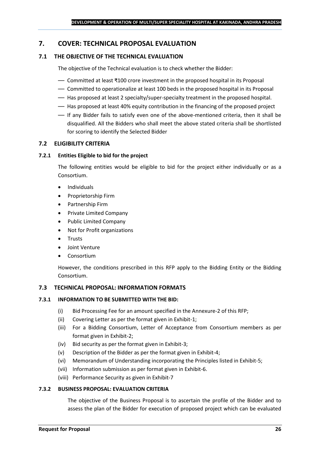## <span id="page-25-0"></span>**7. COVER: TECHNICAL PROPOSAL EVALUATION**

## **7.1 THE OBJECTIVE OF THE TECHNICAL EVALUATION**

The objective of the Technical evaluation is to check whether the Bidder:

- Committed at least ₹100 crore investment in the proposed hospital in its Proposal
- Committed to operationalize at least 100 beds in the proposed hospital in its Proposal
- Has proposed at least 2 specialty/super-specialty treatment in the proposed hospital.
- Has proposed at least 40% equity contribution in the financing of the proposed project
- If any Bidder fails to satisfy even one of the above-mentioned criteria, then it shall be disqualified. All the Bidders who shall meet the above stated criteria shall be shortlisted for scoring to identify the Selected Bidder

## **7.2 ELIGIBILITY CRITERIA**

#### **7.2.1 Entities Eligible to bid for the project**

The following entities would be eligible to bid for the project either individually or as a Consortium.

- Individuals
- Proprietorship Firm
- Partnership Firm
- Private Limited Company
- Public Limited Company
- Not for Profit organizations
- Trusts
- Joint Venture
- **Consortium**

However, the conditions prescribed in this RFP apply to the Bidding Entity or the Bidding Consortium.

#### **7.3 TECHNICAL PROPOSAL: INFORMATION FORMATS**

#### **7.3.1 INFORMATION TO BE SUBMITTED WITH THE BID:**

- (i) Bid Processing Fee for an amount specified in the Annexure-2 of this RFP;
- (ii) Covering Letter as per the format given in Exhibit-1;
- (iii) For a Bidding Consortium, Letter of Acceptance from Consortium members as per format given in Exhibit-2;
- (iv) Bid security as per the format given in Exhibit-3;
- (v) Description of the Bidder as per the format given in Exhibit-4;
- (vi) Memorandum of Understanding incorporating the Principles listed in Exhibit-5;
- (vii) Information submission as per format given in Exhibit-6.
- (viii) Performance Security as given in Exhibit-7

#### **7.3.2 BUSINESS PROPOSAL: EVALUATION CRITERIA**

The objective of the Business Proposal is to ascertain the profile of the Bidder and to assess the plan of the Bidder for execution of proposed project which can be evaluated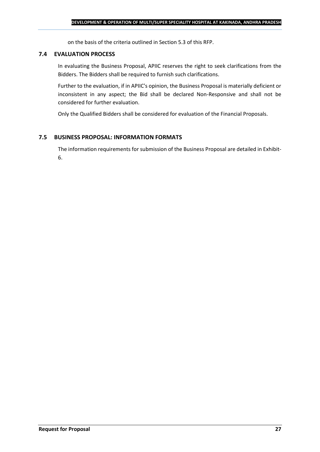on the basis of the criteria outlined in Section 5.3 of this RFP.

#### **7.4 EVALUATION PROCESS**

In evaluating the Business Proposal, APIIC reserves the right to seek clarifications from the Bidders. The Bidders shall be required to furnish such clarifications.

Further to the evaluation, if in APIIC's opinion, the Business Proposal is materially deficient or inconsistent in any aspect; the Bid shall be declared Non-Responsive and shall not be considered for further evaluation.

Only the Qualified Bidders shall be considered for evaluation of the Financial Proposals.

## **7.5 BUSINESS PROPOSAL: INFORMATION FORMATS**

The information requirements for submission of the Business Proposal are detailed in Exhibit-6.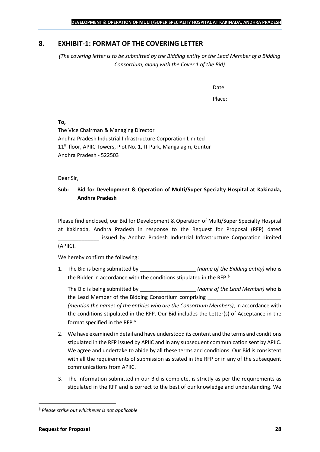## <span id="page-27-0"></span>**8. EXHIBIT-1: FORMAT OF THE COVERING LETTER**

*(The covering letter is to be submitted by the Bidding entity or the Lead Member of a Bidding Consortium, along with the Cover 1 of the Bid)*

Date:

Place:

**To,**

The Vice Chairman & Managing Director Andhra Pradesh Industrial Infrastructure Corporation Limited 11<sup>th</sup> floor, APIIC Towers, Plot No. 1, IT Park, Mangalagiri, Guntur Andhra Pradesh - 522503

Dear Sir,

## **Sub: Bid for Development & Operation of Multi/Super Specialty Hospital at Kakinada, Andhra Pradesh**

Please find enclosed, our Bid for Development & Operation of Multi/Super Specialty Hospital at Kakinada, Andhra Pradesh in response to the Request for Proposal (RFP) dated issued by Andhra Pradesh Industrial Infrastructure Corporation Limited (APIIC).

We hereby confirm the following:

1. The Bid is being submitted by **the intervalle in the Sidding entity**) who is the Bidder in accordance with the conditions stipulated in the RFP.

The Bid is being submitted by \_\_\_\_\_\_\_\_\_\_\_\_\_\_\_\_\_\_\_ *(name of the Lead Member)* who is the Lead Member of the Bidding Consortium comprising *(mention the names of the entities who are the Consortium Members)*, in accordance with the conditions stipulated in the RFP. Our Bid includes the Letter(s) of Acceptance in the format specified in the RFP.

- 2. We have examined in detail and have understood its content and the terms and conditions stipulated in the RFP issued by APIIC and in any subsequent communication sent by APIIC. We agree and undertake to abide by all these terms and conditions. Our Bid is consistent with all the requirements of submission as stated in the RFP or in any of the subsequent communications from APIIC.
- 3. The information submitted in our Bid is complete, is strictly as per the requirements as stipulated in the RFP and is correct to the best of our knowledge and understanding. We

*Please strike out whichever is not applicable*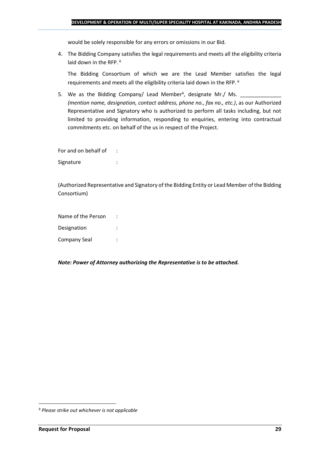would be solely responsible for any errors or omissions in our Bid.

4. The Bidding Company satisfies the legal requirements and meets all the eligibility criteria laid down in the RFP.  $\phi$ 

The Bidding Consortium of which we are the Lead Member satisfies the legal requirements and meets all the eligibility criteria laid down in the RFP.

5. We as the Bidding Company/ Lead Member<sup> $\phi$ </sup>, designate Mr./ Ms.  $\frac{1}{\sqrt{1-\frac{1}{2}}\sqrt{1-\frac{1}{2}}\sqrt{1-\frac{1}{2}}\sqrt{1-\frac{1}{2}}\sqrt{1-\frac{1}{2}}\sqrt{1-\frac{1}{2}}\sqrt{1-\frac{1}{2}}\sqrt{1-\frac{1}{2}}\sqrt{1-\frac{1}{2}}\sqrt{1-\frac{1}{2}}\sqrt{1-\frac{1}{2}}\sqrt{1-\frac{1}{2}}\sqrt{1-\frac{1}{2}}\sqrt{1$ *(mention name, designation, contact address, phone no., fax no., etc.)*, as our Authorized Representative and Signatory who is authorized to perform all tasks including, but not limited to providing information, responding to enquiries, entering into contractual commitments etc. on behalf of the us in respect of the Project.

For and on behalf of : Signature : the state of the state of the state of the state of the state of the state of the state of the state of the state of the state of the state of the state of the state of the state of the state of the state of th

(Authorized Representative and Signatory of the Bidding Entity or Lead Member of the Bidding Consortium)

Name of the Person : Designation : Company Seal :

*Note: Power of Attorney authorizing the Representative is to be attached.*

*Please strike out whichever is not applicable*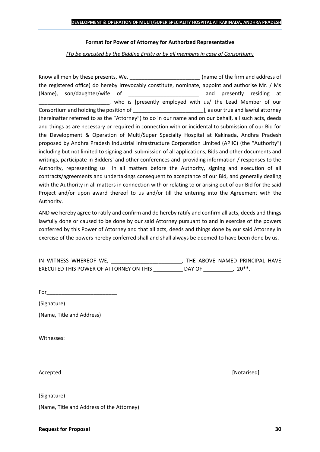#### **Format for Power of Attorney for Authorized Representative**

*(To be executed by the Bidding Entity or by all members in case of Consortium)*

Know all men by these presents, We, the same of the firm and address of the registered office) do hereby irrevocably constitute, nominate, appoint and authorise Mr. / Ms (Name), son/daughter/wife of \_\_\_\_\_\_\_\_\_\_\_\_\_\_\_\_\_\_\_\_\_\_\_\_ and presently residing at who is [presently employed with us/ the Lead Member of our Consortium and holding the position of  $\Box$  . The position of  $\Box$  as our true and lawful attorney (hereinafter referred to as the "Attorney") to do in our name and on our behalf, all such acts, deeds and things as are necessary or required in connection with or incidental to submission of our Bid for the Development & Operation of Multi/Super Specialty Hospital at Kakinada, Andhra Pradesh proposed by Andhra Pradesh Industrial Infrastructure Corporation Limited (APIIC) (the "Authority") including but not limited to signing and submission of all applications, Bids and other documents and writings, participate in Bidders' and other conferences and providing information / responses to the Authority, representing us in all matters before the Authority, signing and execution of all contracts/agreements and undertakings consequent to acceptance of our Bid, and generally dealing with the Authority in all matters in connection with or relating to or arising out of our Bid for the said Project and/or upon award thereof to us and/or till the entering into the Agreement with the Authority.

AND we hereby agree to ratify and confirm and do hereby ratify and confirm all acts, deeds and things lawfully done or caused to be done by our said Attorney pursuant to and in exercise of the powers conferred by this Power of Attorney and that all acts, deeds and things done by our said Attorney in exercise of the powers hereby conferred shall and shall always be deemed to have been done by us.

| IN WITNESS WHEREOF WE,                  |        | THE ABOVE NAMED PRINCIPAL HAVE |  |
|-----------------------------------------|--------|--------------------------------|--|
| EXECUTED THIS POWER OF ATTORNEY ON THIS | DAY OF | $20**$                         |  |

For\_\_\_\_\_\_\_\_\_\_\_\_\_\_\_\_\_\_\_\_\_\_\_\_

(Signature)

(Name, Title and Address)

Witnesses:

Accepted [Notarised]

(Signature)

(Name, Title and Address of the Attorney)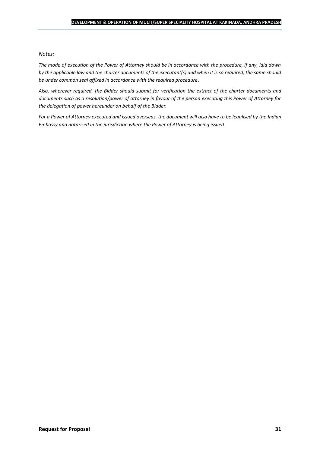#### *Notes:*

*The mode of execution of the Power of Attorney should be in accordance with the procedure, if any, laid down by the applicable law and the charter documents of the executant(s) and when it is so required, the same should be under common seal affixed in accordance with the required procedure*.

*Also, wherever required, the Bidder should submit for verification the extract of the charter documents and documents such as a resolution/power of attorney in favour of the person executing this Power of Attorney for the delegation of power hereunder on behalf of the Bidder.* 

For a Power of Attorney executed and issued overseas, the document will also have to be legalised by the *Indian Embassy and notarised in the jurisdiction where the Power of Attorney is being issued.*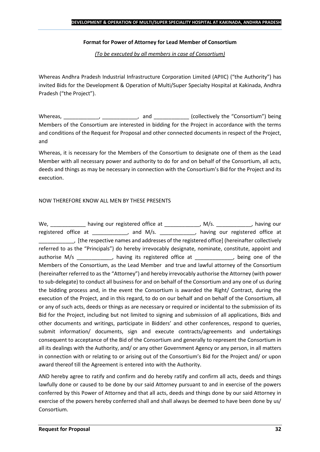## **Format for Power of Attorney for Lead Member of Consortium**

*(To be executed by all members in case of Consortium)*

Whereas Andhra Pradesh Industrial Infrastructure Corporation Limited (APIIC) ("the Authority") has invited Bids for the Development & Operation of Multi/Super Specialty Hospital at Kakinada, Andhra Pradesh ("the Project").

Whereas, \_\_\_\_\_\_\_\_\_\_\_\_, \_\_\_\_\_\_\_\_\_\_\_, and \_\_\_\_\_\_\_\_\_\_\_\_ (collectively the "Consortium") being Members of the Consortium are interested in bidding for the Project in accordance with the terms and conditions of the Request for Proposal and other connected documents in respect of the Project, and

Whereas, it is necessary for the Members of the Consortium to designate one of them as the Lead Member with all necessary power and authority to do for and on behalf of the Consortium, all acts, deeds and things as may be necessary in connection with the Consortium's Bid for the Project and its execution.

## NOW THEREFORE KNOW ALL MEN BY THESE PRESENTS

We, \_\_\_\_\_\_\_\_\_\_\_\_\_ having our registered office at \_\_\_\_\_\_\_\_\_\_\_\_\_, M/s. \_\_\_\_\_\_\_\_\_\_\_, having our registered office at \_\_\_\_\_\_\_\_\_\_\_, and M/s. \_\_\_\_\_\_\_\_\_\_\_, having our registered office at \_\_\_\_\_\_\_\_\_\_\_\_, [the respective names and addresses of the registered office] (hereinafter collectively referred to as the "Principals") do hereby irrevocably designate, nominate, constitute, appoint and authorise M/s \_\_\_\_\_\_\_\_\_\_\_, having its registered office at \_\_\_\_\_\_\_\_\_\_\_, being one of the Members of the Consortium, as the Lead Member and true and lawful attorney of the Consortium (hereinafter referred to as the "Attorney") and hereby irrevocably authorise the Attorney (with power to sub-delegate) to conduct all business for and on behalf of the Consortium and any one of us during the bidding process and, in the event the Consortium is awarded the Right/ Contract, during the execution of the Project, and in this regard, to do on our behalf and on behalf of the Consortium, all or any of such acts, deeds or things as are necessary or required or incidental to the submission of its Bid for the Project, including but not limited to signing and submission of all applications, Bids and other documents and writings, participate in Bidders' and other conferences, respond to queries, submit information/ documents, sign and execute contracts/agreements and undertakings consequent to acceptance of the Bid of the Consortium and generally to represent the Consortium in all its dealings with the Authority, and/ or any other Government Agency or any person, in all matters in connection with or relating to or arising out of the Consortium's Bid for the Project and/ or upon award thereof till the Agreement is entered into with the Authority.

AND hereby agree to ratify and confirm and do hereby ratify and confirm all acts, deeds and things lawfully done or caused to be done by our said Attorney pursuant to and in exercise of the powers conferred by this Power of Attorney and that all acts, deeds and things done by our said Attorney in exercise of the powers hereby conferred shall and shall always be deemed to have been done by us/ Consortium.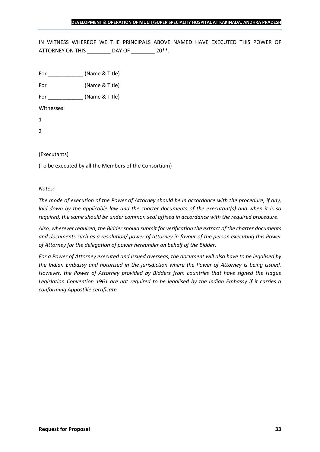IN WITNESS WHEREOF WE THE PRINCIPALS ABOVE NAMED HAVE EXECUTED THIS POWER OF ATTORNEY ON THIS \_\_\_\_\_\_\_\_ DAY OF \_\_\_\_\_\_\_ 20\*\*.

For \_\_\_\_\_\_\_\_\_\_\_\_ (Name & Title)

For  $(Name & Title)$ 

Witnesses:

1

2

## (Executants)

(To be executed by all the Members of the Consortium)

#### *Notes:*

*The mode of execution of the Power of Attorney should be in accordance with the procedure, if any, laid down by the applicable law and the charter documents of the executant(s) and when it is so required, the same should be under common seal affixed in accordance with the required procedure*.

*Also, wherever required, the Bidder should submit for verification the extract of the charter documents and documents such as a resolution/ power of attorney in favour of the person executing this Power of Attorney for the delegation of power hereunder on behalf of the Bidder.* 

*For a Power of Attorney executed and issued overseas, the document will also have to be legalised by the Indian Embassy and notarised in the jurisdiction where the Power of Attorney is being issued. However, the Power of Attorney provided by Bidders from countries that have signed the Hague Legislation Convention 1961 are not required to be legalised by the Indian Embassy if it carries a conforming Appostille certificate.*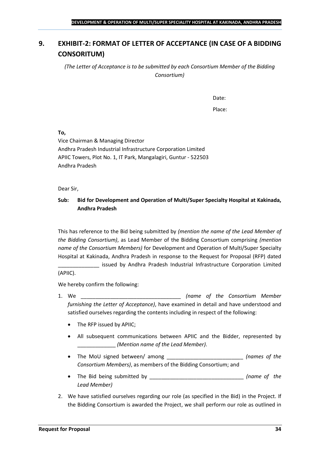## <span id="page-33-0"></span>**9. EXHIBIT-2: FORMAT OF LETTER OF ACCEPTANCE (IN CASE OF A BIDDING CONSORITUM)**

*(The Letter of Acceptance is to be submitted by each Consortium Member of the Bidding Consortium)*

Date:

Place:

**To,**

Vice Chairman & Managing Director Andhra Pradesh Industrial Infrastructure Corporation Limited APIIC Towers, Plot No. 1, IT Park, Mangalagiri, Guntur - 522503 Andhra Pradesh

Dear Sir,

## **Sub: Bid for Development and Operation of Multi/Super Specialty Hospital at Kakinada, Andhra Pradesh**

This has reference to the Bid being submitted by *(mention the name of the Lead Member of the Bidding Consortium)*, as Lead Member of the Bidding Consortium comprising *(mention name of the Consortium Members)* for Development and Operation of Multi/Super Specialty Hospital at Kakinada, Andhra Pradesh in response to the Request for Proposal (RFP) dated

\_\_\_\_\_\_\_\_\_\_\_\_\_\_ issued by Andhra Pradesh Industrial Infrastructure Corporation Limited (APIIC).

We hereby confirm the following:

- 1. We \_\_\_\_\_\_\_\_\_\_\_\_\_\_\_\_\_\_\_\_\_\_\_\_\_\_\_\_\_\_\_\_\_\_ *(name of the Consortium Member furnishing the Letter of Acceptance)*, have examined in detail and have understood and satisfied ourselves regarding the contents including in respect of the following:
	- The RFP issued by APIIC;
	- All subsequent communications between APIIC and the Bidder, represented by \_\_\_\_\_\_\_\_\_\_\_\_\_ *(Mention name of the Lead Member)*.
	- The MoU signed between/ among \_\_\_\_\_\_\_\_\_\_\_\_\_\_\_\_\_\_\_\_\_\_\_\_\_\_ *(names of the Consortium Members)*, as members of the Bidding Consortium; and
	- The Bid being submitted by \_\_\_\_\_\_\_\_\_\_\_\_\_\_\_\_\_\_\_\_\_\_\_\_\_\_\_\_\_\_\_\_ *(name of the Lead Member)*
- 2. We have satisfied ourselves regarding our role (as specified in the Bid) in the Project. If the Bidding Consortium is awarded the Project, we shall perform our role as outlined in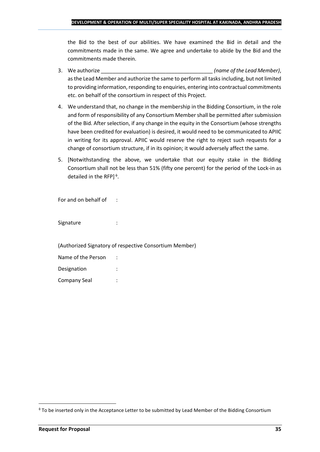the Bid to the best of our abilities. We have examined the Bid in detail and the commitments made in the same. We agree and undertake to abide by the Bid and the commitments made therein.

- 3. We authorize \_\_\_\_\_\_\_\_\_\_\_\_\_\_\_\_\_\_\_\_\_\_\_\_\_\_\_\_\_\_\_\_\_\_\_\_\_\_ *(name of the Lead Member)*, as the Lead Member and authorize the same to perform all tasks including, but not limited to providing information, responding to enquiries, entering into contractual commitments etc. on behalf of the consortium in respect of this Project.
- 4. We understand that, no change in the membership in the Bidding Consortium, in the role and form of responsibility of any Consortium Member shall be permitted after submission of the Bid. After selection, if any change in the equity in the Consortium (whose strengths have been credited for evaluation) is desired, it would need to be communicated to APIIC in writing for its approval. APIIC would reserve the right to reject such requests for a change of consortium structure, if in its opinion; it would adversely affect the same.
- 5. [Notwithstanding the above, we undertake that our equity stake in the Bidding Consortium shall not be less than 51% (fifty one percent) for the period of the Lock-in as detailed in the RFP] $\triangleq$ .

For and on behalf of :

Signature : the state of the state of the state of the state of the state of the state of the state of the state of the state of the state of the state of the state of the state of the state of the state of the state of th

(Authorized Signatory of respective Consortium Member)

| Name of the Person |  |
|--------------------|--|
| Designation        |  |
| Company Seal       |  |

To be inserted only in the Acceptance Letter to be submitted by Lead Member of the Bidding Consortium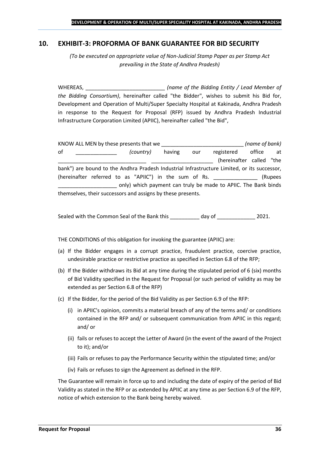## <span id="page-35-0"></span>**10. EXHIBIT-3: PROFORMA OF BANK GUARANTEE FOR BID SECURITY**

*(To be executed on appropriate value of Non-Judicial Stamp Paper as per Stamp Act prevailing in the State of Andhra Pradesh)*

WHEREAS, \_\_\_\_\_\_\_\_\_\_\_\_\_\_\_\_\_\_\_\_\_\_\_\_\_\_\_ *(name of the Bidding Entity / Lead Member of the Bidding Consortium)*, hereinafter called "the Bidder", wishes to submit his Bid for, Development and Operation of Multi/Super Specialty Hospital at Kakinada, Andhra Pradesh in response to the Request for Proposal (RFP) issued by Andhra Pradesh Industrial Infrastructure Corporation Limited (APIIC), hereinafter called "the Bid",

KNOW ALL MEN by these presents that we \_\_\_\_\_\_\_\_\_\_\_\_\_\_\_\_\_\_\_\_\_\_\_\_\_\_\_\_ *(name of bank)* of \_\_\_\_\_\_\_\_\_\_\_\_\_\_ *(country)* having our registered office at (hereinafter called "the bank") are bound to the Andhra Pradesh Industrial Infrastructure Limited, or its successor, (hereinafter referred to as "APIIC") in the sum of Rs. \_\_\_\_\_\_\_\_\_\_\_\_\_\_\_ (Rupees \_\_\_\_\_\_\_\_\_\_\_\_\_\_\_\_\_\_\_\_ only) which payment can truly be made to APIIC. The Bank binds themselves, their successors and assigns by these presents.

Sealed with the Common Seal of the Bank this day of  $2021$ .

THE CONDITIONS of this obligation for invoking the guarantee (APIIC) are:

- (a) If the Bidder engages in a corrupt practice, fraudulent practice, coercive practice, undesirable practice or restrictive practice as specified in Section 6.8 of the RFP;
- (b) If the Bidder withdraws its Bid at any time during the stipulated period of 6 (six) months of Bid Validity specified in the Request for Proposal (or such period of validity as may be extended as per Section 6.8 of the RFP)
- (c) If the Bidder, for the period of the Bid Validity as per Section 6.9 of the RFP:
	- (i) in APIIC's opinion, commits a material breach of any of the terms and/ or conditions contained in the RFP and/ or subsequent communication from APIIC in this regard; and/ or
	- (ii) fails or refuses to accept the Letter of Award (in the event of the award of the Project to it); and/or
	- (iii) Fails or refuses to pay the Performance Security within the stipulated time; and/or
	- (iv) Fails or refuses to sign the Agreement as defined in the RFP.

The Guarantee will remain in force up to and including the date of expiry of the period of Bid Validity as stated in the RFP or as extended by APIIC at any time as per Section 6.9 of the RFP, notice of which extension to the Bank being hereby waived.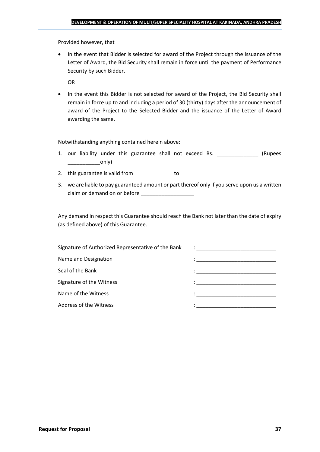Provided however, that

• In the event that Bidder is selected for award of the Project through the issuance of the Letter of Award, the Bid Security shall remain in force until the payment of Performance Security by such Bidder.

OR

• In the event this Bidder is not selected for award of the Project, the Bid Security shall remain in force up to and including a period of 30 (thirty) days after the announcement of award of the Project to the Selected Bidder and the issuance of the Letter of Award awarding the same.

Notwithstanding anything contained herein above:

- 1. our liability under this guarantee shall not exceed Rs. \_\_\_\_\_\_\_\_\_\_\_\_\_\_\_ (Rupees  $\begin{array}{c} \begin{array}{c} \begin{array}{c} \end{array} \end{array}$
- 2. this guarantee is valid from to be to to to the state of the state of the state of the state of the state o
- 3. we are liable to pay guaranteed amount or part thereof only if you serve upon us a written claim or demand on or before

Any demand in respect this Guarantee should reach the Bank not later than the date of expiry (as defined above) of this Guarantee.

| Signature of Authorized Representative of the Bank | $\mathcal{L}=\frac{1}{\sqrt{2\pi}}\left\{ \frac{1}{\sqrt{2\pi}}\right\}$                                                              |
|----------------------------------------------------|---------------------------------------------------------------------------------------------------------------------------------------|
| Name and Designation                               | the contract of the contract of the contract of the contract of the contract of the contract of                                       |
| Seal of the Bank                                   | the control of the control of the control of the control of the control of                                                            |
| Signature of the Witness                           |                                                                                                                                       |
| Name of the Witness                                | en de la componentación de la componentación de la componentación de la componentación de la componentación de<br>A la componentación |
| Address of the Witness                             |                                                                                                                                       |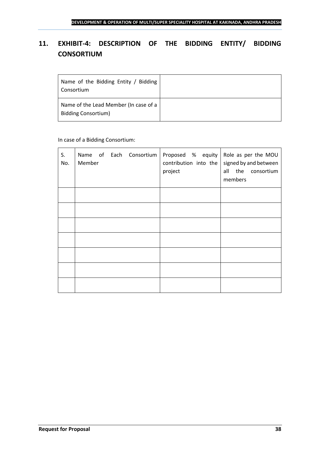## <span id="page-37-0"></span>**11. EXHIBIT-4: DESCRIPTION OF THE BIDDING ENTITY/ BIDDING CONSORTIUM**

| Name of the Bidding Entity / Bidding<br>Consortium                  |  |
|---------------------------------------------------------------------|--|
| Name of the Lead Member (In case of a<br><b>Bidding Consortium)</b> |  |

## In case of a Bidding Consortium:

| S. | No. | Member |  | Name of Each Consortium | Proposed $%$ equity Role as per the MOU<br>contribution into the<br>project | members | signed by and between<br>all the consortium |
|----|-----|--------|--|-------------------------|-----------------------------------------------------------------------------|---------|---------------------------------------------|
|    |     |        |  |                         |                                                                             |         |                                             |
|    |     |        |  |                         |                                                                             |         |                                             |
|    |     |        |  |                         |                                                                             |         |                                             |
|    |     |        |  |                         |                                                                             |         |                                             |
|    |     |        |  |                         |                                                                             |         |                                             |
|    |     |        |  |                         |                                                                             |         |                                             |
|    |     |        |  |                         |                                                                             |         |                                             |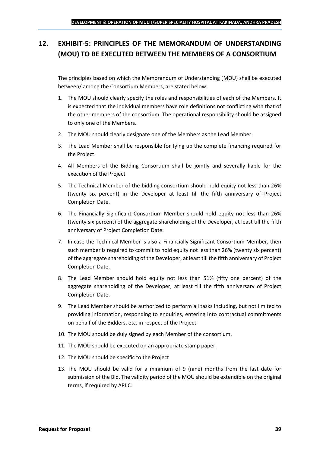## <span id="page-38-0"></span>**12. EXHIBIT-5: PRINCIPLES OF THE MEMORANDUM OF UNDERSTANDING (MOU) TO BE EXECUTED BETWEEN THE MEMBERS OF A CONSORTIUM**

The principles based on which the Memorandum of Understanding (MOU) shall be executed between/ among the Consortium Members, are stated below:

- 1. The MOU should clearly specify the roles and responsibilities of each of the Members. It is expected that the individual members have role definitions not conflicting with that of the other members of the consortium. The operational responsibility should be assigned to only one of the Members.
- 2. The MOU should clearly designate one of the Members as the Lead Member.
- 3. The Lead Member shall be responsible for tying up the complete financing required for the Project.
- 4. All Members of the Bidding Consortium shall be jointly and severally liable for the execution of the Project
- 5. The Technical Member of the bidding consortium should hold equity not less than 26% (twenty six percent) in the Developer at least till the fifth anniversary of Project Completion Date.
- 6. The Financially Significant Consortium Member should hold equity not less than 26% (twenty six percent) of the aggregate shareholding of the Developer, at least till the fifth anniversary of Project Completion Date.
- 7. In case the Technical Member is also a Financially Significant Consortium Member, then such member is required to commit to hold equity not less than 26% (twenty six percent) of the aggregate shareholding of the Developer, at least till the fifth anniversary of Project Completion Date.
- 8. The Lead Member should hold equity not less than 51% (fifty one percent) of the aggregate shareholding of the Developer, at least till the fifth anniversary of Project Completion Date.
- 9. The Lead Member should be authorized to perform all tasks including, but not limited to providing information, responding to enquiries, entering into contractual commitments on behalf of the Bidders, etc. in respect of the Project
- 10. The MOU should be duly signed by each Member of the consortium.
- 11. The MOU should be executed on an appropriate stamp paper.
- 12. The MOU should be specific to the Project
- 13. The MOU should be valid for a minimum of 9 (nine) months from the last date for submission of the Bid. The validity period of the MOU should be extendible on the original terms, if required by APIIC.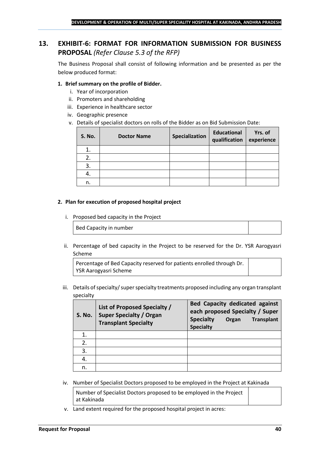## <span id="page-39-0"></span>**13. EXHIBIT-6: FORMAT FOR INFORMATION SUBMISSION FOR BUSINESS PROPOSAL** *(Refer Clause 5.3 of the RFP)*

The Business Proposal shall consist of following information and be presented as per the below produced format:

## **1. Brief summary on the profile of Bidder.**

- i. Year of incorporation
- ii. Promoters and shareholding
- iii. Experience in healthcare sector
- iv. Geographic presence
- v. Details of specialist doctors on rolls of the Bidder as on Bid Submission Date:

| <b>S. No.</b> | <b>Doctor Name</b> | Specialization | <b>Educational</b><br>qualification | Yrs. of<br>experience |
|---------------|--------------------|----------------|-------------------------------------|-----------------------|
|               |                    |                |                                     |                       |
| 2.            |                    |                |                                     |                       |
| 3.            |                    |                |                                     |                       |
| 4.            |                    |                |                                     |                       |
| n.            |                    |                |                                     |                       |

#### **2. Plan for execution of proposed hospital project**

i. Proposed bed capacity in the Project

Bed Capacity in number

ii. Percentage of bed capacity in the Project to be reserved for the Dr. YSR Aarogyasri Scheme

Percentage of Bed Capacity reserved for patients enrolled through Dr. YSR Aarogyasri Scheme

iii. Details of specialty/ super specialty treatments proposed including any organ transplant specialty

| <b>S. No.</b> | List of Proposed Specialty /<br><b>Super Specialty / Organ</b><br><b>Transplant Specialty</b> | <b>Bed Capacity dedicated against</b><br>each proposed Specialty / Super<br><b>Specialty</b><br><b>Transplant</b><br>Organ<br><b>Specialty</b> |
|---------------|-----------------------------------------------------------------------------------------------|------------------------------------------------------------------------------------------------------------------------------------------------|
|               |                                                                                               |                                                                                                                                                |
| 2.            |                                                                                               |                                                                                                                                                |
| 3.            |                                                                                               |                                                                                                                                                |
| 4.            |                                                                                               |                                                                                                                                                |
| n.            |                                                                                               |                                                                                                                                                |

iv. Number of Specialist Doctors proposed to be employed in the Project at Kakinada

Number of Specialist Doctors proposed to be employed in the Project at Kakinada

v. Land extent required for the proposed hospital project in acres: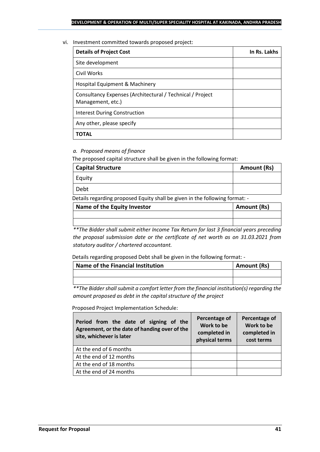#### vi. Investment committed towards proposed project:

| <b>Details of Project Cost</b>                                                 | In Rs. Lakhs |
|--------------------------------------------------------------------------------|--------------|
| Site development                                                               |              |
| Civil Works                                                                    |              |
| Hospital Equipment & Machinery                                                 |              |
| Consultancy Expenses (Architectural / Technical / Project<br>Management, etc.) |              |
| <b>Interest During Construction</b>                                            |              |
| Any other, please specify                                                      |              |
| ΤΟΤΑL                                                                          |              |

## *a. Proposed means of finance*

The proposed capital structure shall be given in the following format:

| <b>Capital Structure</b> | Amount (Rs) |
|--------------------------|-------------|
| Equity                   |             |
| Debt                     |             |

Details regarding proposed Equity shall be given in the following format: -

| Name of the Equity Investor | Amount (Rs) |
|-----------------------------|-------------|
|                             |             |
|                             |             |

*\*\*The Bidder shall submit either Income Tax Return for last 3 financial years preceding the proposal submission date or the certificate of net worth as on 31.03.2021 from statutory auditor / chartered accountant.*

Details regarding proposed Debt shall be given in the following format: -

| Name of the Financial Institution | Amount (Rs) |
|-----------------------------------|-------------|
|                                   |             |
|                                   |             |

*\*\*The Bidder shall submit a comfort letter from the financial institution(s) regarding the amount proposed as debt in the capital structure of the project*

Proposed Project Implementation Schedule:

| Period from the date of signing of the<br>Agreement, or the date of handing over of the<br>site, whichever is later | Percentage of<br>Work to be<br>completed in<br>physical terms | Percentage of<br>Work to be<br>completed in<br>cost terms |
|---------------------------------------------------------------------------------------------------------------------|---------------------------------------------------------------|-----------------------------------------------------------|
| At the end of 6 months                                                                                              |                                                               |                                                           |
| At the end of 12 months                                                                                             |                                                               |                                                           |
| At the end of 18 months                                                                                             |                                                               |                                                           |
| At the end of 24 months                                                                                             |                                                               |                                                           |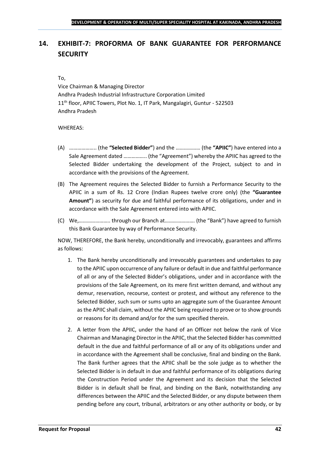## <span id="page-41-0"></span>**14. EXHIBIT-7: PROFORMA OF BANK GUARANTEE FOR PERFORMANCE SECURITY**

#### To,

Vice Chairman & Managing Director Andhra Pradesh Industrial Infrastructure Corporation Limited 11<sup>th</sup> floor, APIIC Towers, Plot No. 1, IT Park, Mangalagiri, Guntur - 522503 Andhra Pradesh

## WHEREAS:

- (A) ……………….. (the **"Selected Bidder"**) and the ……………… (the **"APIIC"**) have entered into a Sale Agreement dated …………….. (the "Agreement") whereby the APIIC has agreed to the Selected Bidder undertaking the development of the Project, subject to and in accordance with the provisions of the Agreement.
- (B) The Agreement requires the Selected Bidder to furnish a Performance Security to the APIIC in a sum of Rs. 12 Crore (Indian Rupees twelve crore only) (the **"Guarantee Amount"**) as security for due and faithful performance of its obligations, under and in accordance with the Sale Agreement entered into with APIIC.
- (C) We,………………….. through our Branch at…………………. (the "Bank") have agreed to furnish this Bank Guarantee by way of Performance Security.

NOW, THEREFORE, the Bank hereby, unconditionally and irrevocably, guarantees and affirms as follows:

- 1. The Bank hereby unconditionally and irrevocably guarantees and undertakes to pay to the APIIC upon occurrence of any failure or default in due and faithful performance of all or any of the Selected Bidder's obligations, under and in accordance with the provisions of the Sale Agreement, on its mere first written demand, and without any demur, reservation, recourse, contest or protest, and without any reference to the Selected Bidder, such sum or sums upto an aggregate sum of the Guarantee Amount as the APIIC shall claim, without the APIIC being required to prove or to show grounds or reasons for its demand and/or for the sum specified therein.
- 2. A letter from the APIIC, under the hand of an Officer not below the rank of Vice Chairman and Managing Director in the APIIC, that the Selected Bidder has committed default in the due and faithful performance of all or any of its obligations under and in accordance with the Agreement shall be conclusive, final and binding on the Bank. The Bank further agrees that the APIIC shall be the sole judge as to whether the Selected Bidder is in default in due and faithful performance of its obligations during the Construction Period under the Agreement and its decision that the Selected Bidder is in default shall be final, and binding on the Bank, notwithstanding any differences between the APIIC and the Selected Bidder, or any dispute between them pending before any court, tribunal, arbitrators or any other authority or body, or by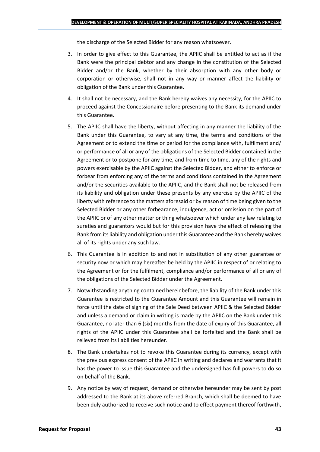the discharge of the Selected Bidder for any reason whatsoever.

- 3. In order to give effect to this Guarantee, the APIIC shall be entitled to act as if the Bank were the principal debtor and any change in the constitution of the Selected Bidder and/or the Bank, whether by their absorption with any other body or corporation or otherwise, shall not in any way or manner affect the liability or obligation of the Bank under this Guarantee.
- 4. It shall not be necessary, and the Bank hereby waives any necessity, for the APIIC to proceed against the Concessionaire before presenting to the Bank its demand under this Guarantee.
- 5. The APIIC shall have the liberty, without affecting in any manner the liability of the Bank under this Guarantee, to vary at any time, the terms and conditions of the Agreement or to extend the time or period for the compliance with, fulfilment and/ or performance of all or any of the obligations of the Selected Bidder contained in the Agreement or to postpone for any time, and from time to time, any of the rights and powers exercisable by the APIIC against the Selected Bidder, and either to enforce or forbear from enforcing any of the terms and conditions contained in the Agreement and/or the securities available to the APIIC, and the Bank shall not be released from its liability and obligation under these presents by any exercise by the APIIC of the liberty with reference to the matters aforesaid or by reason of time being given to the Selected Bidder or any other forbearance, indulgence, act or omission on the part of the APIIC or of any other matter or thing whatsoever which under any law relating to sureties and guarantors would but for this provision have the effect of releasing the Bank from its liability and obligation under this Guarantee and the Bank hereby waives all of its rights under any such law.
- 6. This Guarantee is in addition to and not in substitution of any other guarantee or security now or which may hereafter be held by the APIIC in respect of or relating to the Agreement or for the fulfilment, compliance and/or performance of all or any of the obligations of the Selected Bidder under the Agreement.
- 7. Notwithstanding anything contained hereinbefore, the liability of the Bank under this Guarantee is restricted to the Guarantee Amount and this Guarantee will remain in force until the date of signing of the Sale Deed between APIIC & the Selected Bidder and unless a demand or claim in writing is made by the APIIC on the Bank under this Guarantee, no later than 6 (six) months from the date of expiry of this Guarantee, all rights of the APIIC under this Guarantee shall be forfeited and the Bank shall be relieved from its liabilities hereunder.
- 8. The Bank undertakes not to revoke this Guarantee during its currency, except with the previous express consent of the APIIC in writing and declares and warrants that it has the power to issue this Guarantee and the undersigned has full powers to do so on behalf of the Bank.
- 9. Any notice by way of request, demand or otherwise hereunder may be sent by post addressed to the Bank at its above referred Branch, which shall be deemed to have been duly authorized to receive such notice and to effect payment thereof forthwith,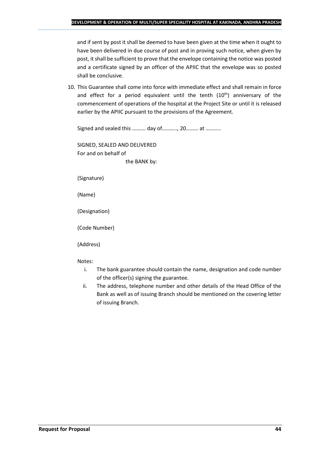and if sent by post it shall be deemed to have been given at the time when it ought to have been delivered in due course of post and in proving such notice, when given by post, it shall be sufficient to prove that the envelope containing the notice was posted and a certificate signed by an officer of the APIIC that the envelope was so posted shall be conclusive.

10. This Guarantee shall come into force with immediate effect and shall remain in force and effect for a period equivalent until the tenth  $(10<sup>th</sup>)$  anniversary of the commencement of operations of the hospital at the Project Site or until it is released earlier by the APIIC pursuant to the provisions of the Agreement.

Signed and sealed this ………. day of……….., 20……… at ………..

SIGNED, SEALED AND DELIVERED For and on behalf of the BANK by:

(Signature)

(Name)

(Designation)

(Code Number)

(Address)

Notes:

- i. The bank guarantee should contain the name, designation and code number of the officer(s) signing the guarantee.
- ii. The address, telephone number and other details of the Head Office of the Bank as well as of issuing Branch should be mentioned on the covering letter of issuing Branch.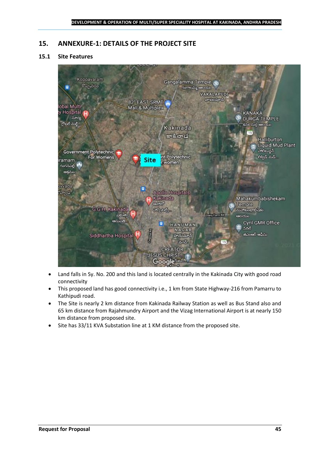## <span id="page-44-0"></span>**15. ANNEXURE-1: DETAILS OF THE PROJECT SITE**

## **15.1 Site Features**



- Land falls in Sy. No. 200 and this land is located centrally in the Kakinada City with good road connectivity
- This proposed land has good connectivity i.e., 1 km from State Highway-216 from Pamarru to Kathipudi road.
- The Site is nearly 2 km distance from Kakinada Railway Station as well as Bus Stand also and 65 km distance from Rajahmundry Airport and the Vizag International Airport is at nearly 150 km distance from proposed site.
- Site has 33/11 KVA Substation line at 1 KM distance from the proposed site.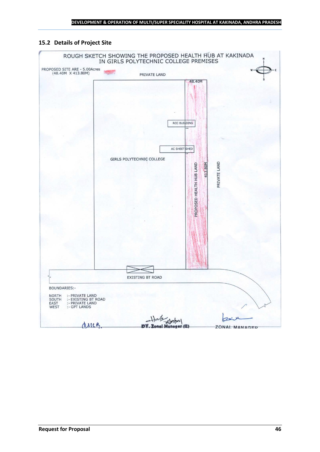## **15.2 Details of Project Site**

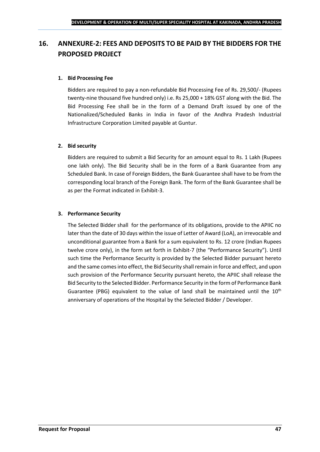## <span id="page-46-0"></span>**16. ANNEXURE-2: FEES AND DEPOSITS TO BE PAID BY THE BIDDERS FOR THE PROPOSED PROJECT**

## **1. Bid Processing Fee**

Bidders are required to pay a non-refundable Bid Processing Fee of Rs. 29,500/- (Rupees twenty-nine thousand five hundred only) i.e. Rs 25,000 + 18% GST along with the Bid. The Bid Processing Fee shall be in the form of a Demand Draft issued by one of the Nationalized/Scheduled Banks in India in favor of the Andhra Pradesh Industrial Infrastructure Corporation Limited payable at Guntur.

## **2. Bid security**

Bidders are required to submit a Bid Security for an amount equal to Rs. 1 Lakh (Rupees one lakh only). The Bid Security shall be in the form of a Bank Guarantee from any Scheduled Bank. In case of Foreign Bidders, the Bank Guarantee shall have to be from the corresponding local branch of the Foreign Bank. The form of the Bank Guarantee shall be as per the Format indicated in Exhibit-3.

## **3. Performance Security**

The Selected Bidder shall for the performance of its obligations, provide to the APIIC no later than the date of 30 days within the issue of Letter of Award (LoA), an irrevocable and unconditional guarantee from a Bank for a sum equivalent to Rs. 12 crore (Indian Rupees twelve crore only), in the form set forth in Exhibit-7 (the "Performance Security"). Until such time the Performance Security is provided by the Selected Bidder pursuant hereto and the same comes into effect, the Bid Security shall remain in force and effect, and upon such provision of the Performance Security pursuant hereto, the APIIC shall release the Bid Security to the Selected Bidder. Performance Security in the form of Performance Bank Guarantee (PBG) equivalent to the value of land shall be maintained until the  $10^{th}$ anniversary of operations of the Hospital by the Selected Bidder / Developer.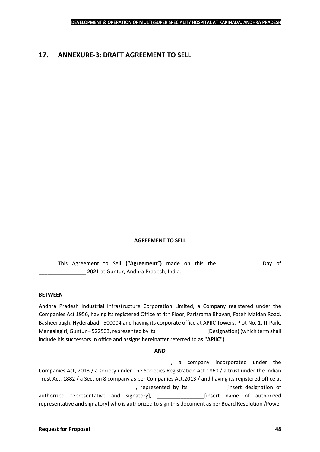## <span id="page-47-0"></span>**17. ANNEXURE-3: DRAFT AGREEMENT TO SELL**

## **AGREEMENT TO SELL**

This Agreement to Sell **("Agreement")** made on this the \_\_\_\_\_\_\_\_\_\_\_\_\_ Day of \_\_\_\_\_\_\_\_\_\_\_\_\_\_\_\_ **2021** at Guntur, Andhra Pradesh, India.

#### **BETWEEN**

Andhra Pradesh Industrial Infrastructure Corporation Limited, a Company registered under the Companies Act 1956, having its registered Office at 4th Floor, Parisrama Bhavan, Fateh Maidan Road, Basheerbagh, Hyderabad - 500004 and having its corporate office at APIIC Towers, Plot No. 1, IT Park, Mangalagiri, Guntur – 522503, represented by its \_\_\_\_\_\_\_\_\_\_\_\_\_\_\_\_\_\_\_\_\_\_\_\_\_\_\_\_\_\_\_\_<br>(Designation) (which term shall include his successors in office and assigns hereinafter referred to as **"APIIC"**).

#### **AND**

\_\_\_\_\_\_\_\_\_\_\_\_\_\_\_\_\_\_\_\_\_\_\_\_\_\_\_\_\_\_\_\_\_\_\_\_\_\_\_\_\_\_\_\_\_, a company incorporated under the Companies Act, 2013 / a society under The Societies Registration Act 1860 / a trust under the Indian Trust Act, 1882 / a Section 8 company as per Companies Act,2013 / and having its registered office at \_\_\_\_\_, represented by its \_\_\_\_\_\_\_\_\_\_\_\_\_ [insert designation of authorized representative and signatory], \_\_\_\_\_\_\_\_\_\_\_\_\_\_\_\_\_\_\_\_\_[insert name of authorized representative and signatory] who is authorized to sign this document as per Board Resolution /Power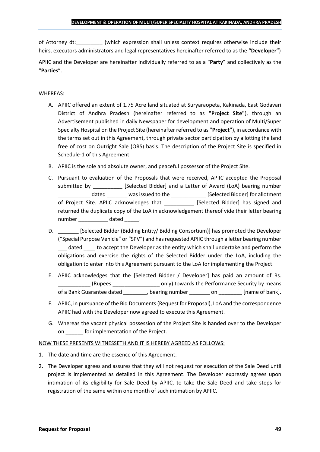of Attorney dt:  $\qquad \qquad$  (which expression shall unless context requires otherwise include their heirs, executors administrators and legal representatives hereinafter referred to as the **"Developer"**)

APIIC and the Developer are hereinafter individually referred to as a "**Party**" and collectively as the "**Parties**".

## WHEREAS:

- A. APIIC offered an extent of 1.75 Acre land situated at Suryaraopeta, Kakinada, East Godavari District of Andhra Pradesh (hereinafter referred to as **"Project Site"**), through an Advertisement published in daily Newspaper for development and operation of Multi/Super Specialty Hospital on the Project Site (hereinafter referred to as **"Project"**), in accordance with the terms set out in this Agreement, through private sector participation by allotting the land free of cost on Outright Sale (ORS) basis. The description of the Project Site is specified in Schedule-1 of this Agreement.
- B. APIIC is the sole and absolute owner, and peaceful possessor of the Project Site.
- C. Pursuant to evaluation of the Proposals that were received, APIIC accepted the Proposal submitted by [Selected Bidder] and a Letter of Award (LoA) bearing number \_\_\_\_\_\_\_\_\_\_\_ dated \_\_\_\_\_\_\_ was issued to the \_\_\_\_\_\_\_\_\_\_\_\_ [Selected Bidder] for allotment of Project Site. APIIC acknowledges that \_\_\_\_\_\_\_\_\_\_ [Selected Bidder] has signed and returned the duplicate copy of the LoA in acknowledgement thereof vide their letter bearing number dated the dated and the dated and the dated  $\sim$
- D. \_\_\_\_\_\_\_ [Selected Bidder (Bidding Entity/ Bidding Consortium)] has promoted the Developer ("Special Purpose Vehicle" or "SPV") and has requested APIIC through a letter bearing number dated to accept the Developer as the entity which shall undertake and perform the obligations and exercise the rights of the Selected Bidder under the LoA, including the obligation to enter into this Agreement pursuant to the LoA for implementing the Project.
- E. APIIC acknowledges that the [Selected Bidder / Developer] has paid an amount of Rs. \_\_\_\_\_\_\_\_\_\_\_ (Rupees \_\_\_\_\_\_\_\_\_\_\_\_\_\_\_\_ only) towards the Performance Security by means of a Bank Guarantee dated bearing number on the lame of bank].
- F. APIIC, in pursuance of the Bid Documents (Request for Proposal), LoA and the correspondence APIIC had with the Developer now agreed to execute this Agreement.
- G. Whereas the vacant physical possession of the Project Site is handed over to the Developer on \_\_\_\_\_\_ for implementation of the Project.

## NOW THESE PRESENTS WITNESSETH AND IT IS HEREBY AGREED AS FOLLOWS:

- 1. The date and time are the essence of this Agreement.
- 2. The Developer agrees and assures that they will not request for execution of the Sale Deed until project is implemented as detailed in this Agreement. The Developer expressly agrees upon intimation of its eligibility for Sale Deed by APIIC, to take the Sale Deed and take steps for registration of the same within one month of such intimation by APIIC.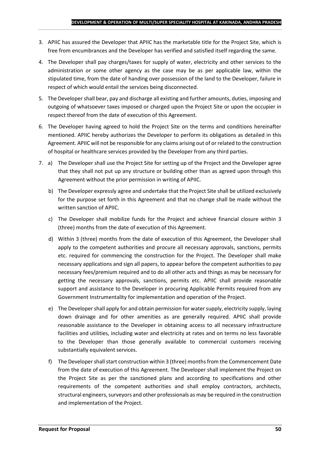- 3. APIIC has assured the Developer that APIIC has the marketable title for the Project Site, which is free from encumbrances and the Developer has verified and satisfied itself regarding the same.
- 4. The Developer shall pay charges/taxes for supply of water, electricity and other services to the administration or some other agency as the case may be as per applicable law, within the stipulated time, from the date of handing over possession of the land to the Developer, failure in respect of which would entail the services being disconnected.
- 5. The Developer shall bear, pay and discharge all existing and further amounts, duties, imposing and outgoing of whatsoever taxes imposed or charged upon the Project Site or upon the occupier in respect thereof from the date of execution of this Agreement.
- 6. The Developer having agreed to hold the Project Site on the terms and conditions hereinafter mentioned. APIIC hereby authorizes the Developer to perform its obligations as detailed in this Agreement. APIIC will not be responsible for any claims arising out of or related to the construction of hospital or healthcare services provided by the Developer from any third parties.
- 7. a) The Developer shall use the Project Site for setting up of the Project and the Developer agree that they shall not put up any structure or building other than as agreed upon through this Agreement without the prior permission in writing of APIIC.
	- b) The Developer expressly agree and undertake that the Project Site shall be utilized exclusively for the purpose set forth in this Agreement and that no change shall be made without the written sanction of APIIC.
	- c) The Developer shall mobilize funds for the Project and achieve financial closure within 3 (three) months from the date of execution of this Agreement.
	- d) Within 3 (three) months from the date of execution of this Agreement, the Developer shall apply to the competent authorities and procure all necessary approvals, sanctions, permits etc. required for commencing the construction for the Project. The Developer shall make necessary applications and sign all papers, to appear before the competent authorities to pay necessary fees/premium required and to do all other acts and things as may be necessary for getting the necessary approvals, sanctions, permits etc. APIIC shall provide reasonable support and assistance to the Developer in procuring Applicable Permits required from any Government Instrumentality for implementation and operation of the Project.
	- e) The Developer shall apply for and obtain permission for water supply, electricity supply, laying down drainage and for other amenities as are generally required. APIIC shall provide reasonable assistance to the Developer in obtaining access to all necessary infrastructure facilities and utilities, including water and electricity at rates and on terms no less favorable to the Developer than those generally available to commercial customers receiving substantially equivalent services.
	- f) The Developer shall start construction within 3 (three) months from the Commencement Date from the date of execution of this Agreement. The Developer shall implement the Project on the Project Site as per the sanctioned plans and according to specifications and other requirements of the competent authorities and shall employ contractors, architects, structural engineers, surveyors and other professionals as may be required in the construction and implementation of the Project.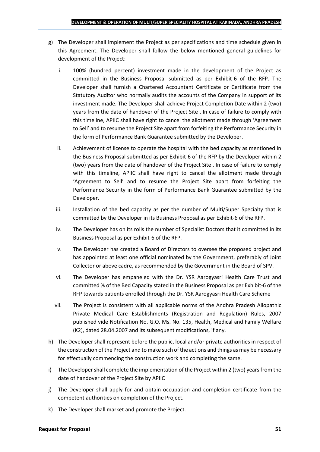- g) The Developer shall implement the Project as per specifications and time schedule given in this Agreement. The Developer shall follow the below mentioned general guidelines for development of the Project:
	- i. 100% (hundred percent) investment made in the development of the Project as committed in the Business Proposal submitted as per Exhibit-6 of the RFP. The Developer shall furnish a Chartered Accountant Certificate or Certificate from the Statutory Auditor who normally audits the accounts of the Company in support of its investment made. The Developer shall achieve Project Completion Date within 2 (two) years from the date of handover of the Project Site . In case of failure to comply with this timeline, APIIC shall have right to cancel the allotment made through 'Agreement to Sell' and to resume the Project Site apart from forfeiting the Performance Security in the form of Performance Bank Guarantee submitted by the Developer.
	- ii. Achievement of license to operate the hospital with the bed capacity as mentioned in the Business Proposal submitted as per Exhibit-6 of the RFP by the Developer within 2 (two) years from the date of handover of the Project Site . In case of failure to comply with this timeline, APIIC shall have right to cancel the allotment made through 'Agreement to Sell' and to resume the Project Site apart from forfeiting the Performance Security in the form of Performance Bank Guarantee submitted by the Developer.
	- iii. Installation of the bed capacity as per the number of Multi/Super Specialty that is committed by the Developer in its Business Proposal as per Exhibit-6 of the RFP.
	- iv. The Developer has on its rolls the number of Specialist Doctors that it committed in its Business Proposal as per Exhibit-6 of the RFP.
	- v. The Developer has created a Board of Directors to oversee the proposed project and has appointed at least one official nominated by the Government, preferably of Joint Collector or above cadre, as recommended by the Government in the Board of SPV.
	- vi. The Developer has empaneled with the Dr. YSR Aarogyasri Health Care Trust and committed % of the Bed Capacity stated in the Business Proposal as per Exhibit-6 of the RFP towards patients enrolled through the Dr. YSR Aarogyasri Health Care Scheme
	- vii. The Project is consistent with all applicable norms of the Andhra Pradesh Allopathic Private Medical Care Establishments (Registration and Regulation) Rules, 2007 published vide Notification No. G.O. Ms. No. 135, Health, Medical and Family Welfare (K2), dated 28.04.2007 and its subsequent modifications, if any.
- h) The Developer shall represent before the public, local and/or private authorities in respect of the construction of the Project and to make such of the actions and things as may be necessary for effectually commencing the construction work and completing the same.
- i) The Developer shall complete the implementation of the Project within 2 (two) years from the date of handover of the Project Site by APIIC
- j) The Developer shall apply for and obtain occupation and completion certificate from the competent authorities on completion of the Project.
- k) The Developer shall market and promote the Project.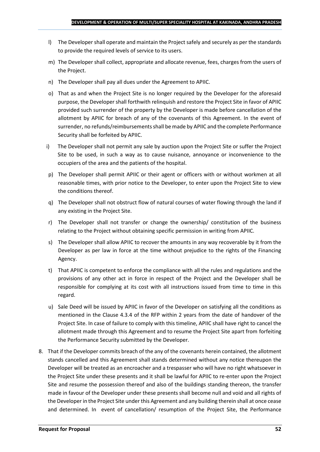- l) The Developer shall operate and maintain the Project safely and securely as per the standards to provide the required levels of service to its users.
- m) The Developer shall collect, appropriate and allocate revenue, fees, charges from the users of the Project.
- n) The Developer shall pay all dues under the Agreement to APIIC.
- o) That as and when the Project Site is no longer required by the Developer for the aforesaid purpose, the Developer shall forthwith relinquish and restore the Project Site in favor of APIIC provided such surrender of the property by the Developer is made before cancellation of the allotment by APIIC for breach of any of the covenants of this Agreement. In the event of surrender, no refunds/reimbursements shall be made by APIIC and the complete Performance Security shall be forfeited by APIIC.
- i) The Developer shall not permit any sale by auction upon the Project Site or suffer the Project Site to be used, in such a way as to cause nuisance, annoyance or inconvenience to the occupiers of the area and the patients of the hospital.
- p) The Developer shall permit APIIC or their agent or officers with or without workmen at all reasonable times, with prior notice to the Developer, to enter upon the Project Site to view the conditions thereof.
- q) The Developer shall not obstruct flow of natural courses of water flowing through the land if any existing in the Project Site.
- r) The Developer shall not transfer or change the ownership/ constitution of the business relating to the Project without obtaining specific permission in writing from APIIC.
- s) The Developer shall allow APIIC to recover the amounts in any way recoverable by it from the Developer as per law in force at the time without prejudice to the rights of the Financing Agency.
- t) That APIIC is competent to enforce the compliance with all the rules and regulations and the provisions of any other act in force in respect of the Project and the Developer shall be responsible for complying at its cost with all instructions issued from time to time in this regard.
- u) Sale Deed will be issued by APIIC in favor of the Developer on satisfying all the conditions as mentioned in the Clause 4.3.4 of the RFP within 2 years from the date of handover of the Project Site. In case of failure to comply with this timeline, APIIC shall have right to cancel the allotment made through this Agreement and to resume the Project Site apart from forfeiting the Performance Security submitted by the Developer.
- 8. That if the Developer commits breach of the any of the covenants herein contained, the allotment stands cancelled and this Agreement shall stands determined without any notice thereupon the Developer will be treated as an encroacher and a trespasser who will have no right whatsoever in the Project Site under these presents and it shall be lawful for APIIC to re-enter upon the Project Site and resume the possession thereof and also of the buildings standing thereon, the transfer made in favour of the Developer under these presents shall become null and void and all rights of the Developer in the Project Site under this Agreement and any building therein shall at once cease and determined. In event of cancellation/ resumption of the Project Site, the Performance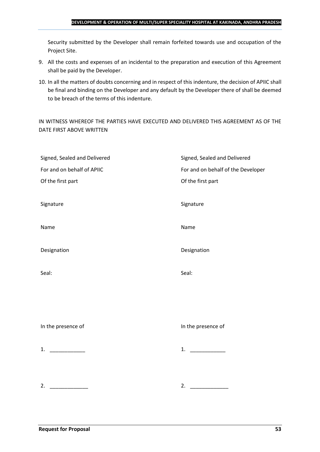#### **DEVELOPMENT & OPERATION OF MULTI/SUPER SPECIALITY HOSPITAL AT KAKINADA, ANDHRA PRADESH**

Security submitted by the Developer shall remain forfeited towards use and occupation of the Project Site.

- 9. All the costs and expenses of an incidental to the preparation and execution of this Agreement shall be paid by the Developer.
- 10. In all the matters of doubts concerning and in respect of this indenture, the decision of APIIC shall be final and binding on the Developer and any default by the Developer there of shall be deemed to be breach of the terms of this indenture.

IN WITNESS WHEREOF THE PARTIES HAVE EXECUTED AND DELIVERED THIS AGREEMENT AS OF THE DATE FIRST ABOVE WRITTEN

| Signed, Sealed and Delivered | Signed, Sealed and Delivered       |
|------------------------------|------------------------------------|
| For and on behalf of APIIC   | For and on behalf of the Developer |
| Of the first part            | Of the first part                  |
|                              |                                    |
| Signature                    | Signature                          |
|                              |                                    |
| Name                         | Name                               |
|                              |                                    |
| Designation                  | Designation                        |
|                              |                                    |
| Seal:                        | Seal:                              |
|                              |                                    |
|                              |                                    |
|                              |                                    |
|                              |                                    |
| In the presence of           | In the presence of                 |
|                              |                                    |
| 1. $\qquad$                  | 1.                                 |
|                              |                                    |
|                              |                                    |
| 2.                           | 2. $\qquad \qquad$                 |
|                              |                                    |